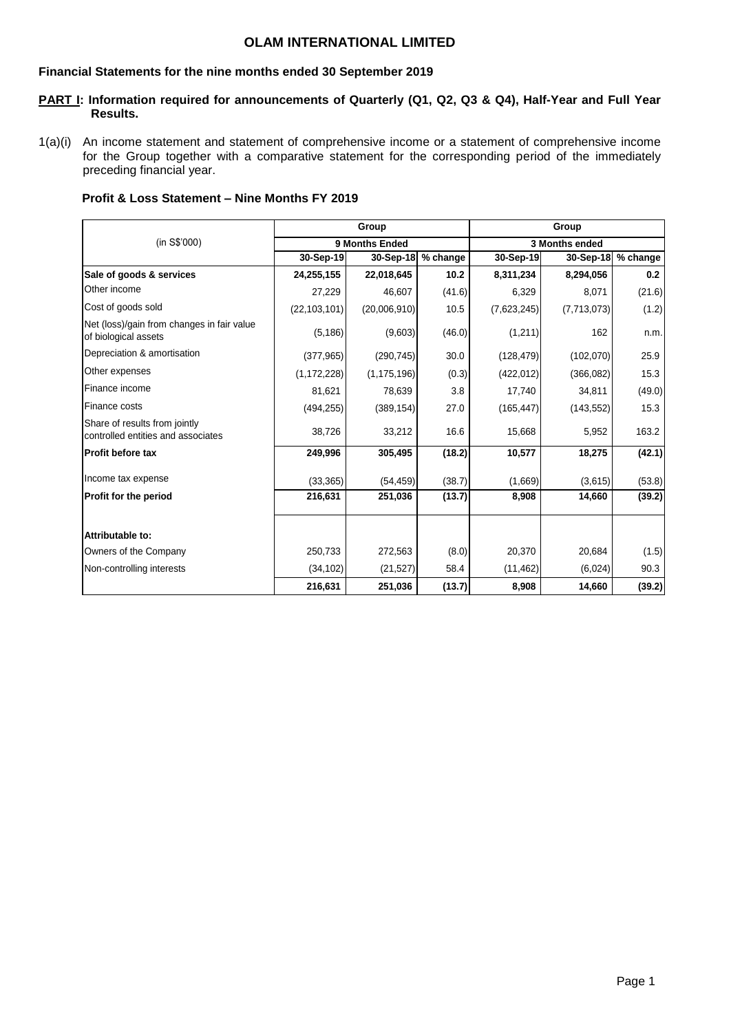## **OLAM INTERNATIONAL LIMITED**

#### **Financial Statements for the nine months ended 30 September 2019**

## **PART I: Information required for announcements of Quarterly (Q1, Q2, Q3 & Q4), Half-Year and Full Year Results.**

1(a)(i) An income statement and statement of comprehensive income or a statement of comprehensive income for the Group together with a comparative statement for the corresponding period of the immediately preceding financial year.

| <b>Profit &amp; Loss Statement – Nine Months FY 2019</b> |  |
|----------------------------------------------------------|--|
|----------------------------------------------------------|--|

|                                                                     |                | Group          |          |             | Group          |          |
|---------------------------------------------------------------------|----------------|----------------|----------|-------------|----------------|----------|
| (in S\$'000)                                                        |                | 9 Months Ended |          |             | 3 Months ended |          |
|                                                                     | 30-Sep-19      | 30-Sep-18      | % change | 30-Sep-19   | 30-Sep-18      | % change |
| Sale of goods & services                                            | 24,255,155     | 22,018,645     | 10.2     | 8,311,234   | 8,294,056      | 0.2      |
| Other income                                                        | 27,229         | 46,607         | (41.6)   | 6,329       | 8,071          | (21.6)   |
| Cost of goods sold                                                  | (22, 103, 101) | (20,006,910)   | 10.5     | (7,623,245) | (7,713,073)    | (1.2)    |
| Net (loss)/gain from changes in fair value<br>of biological assets  | (5, 186)       | (9,603)        | (46.0)   | (1,211)     | 162            | n.m.     |
| Depreciation & amortisation                                         | (377, 965)     | (290, 745)     | 30.0     | (128, 479)  | (102,070)      | 25.9     |
| Other expenses                                                      | (1, 172, 228)  | (1, 175, 196)  | (0.3)    | (422, 012)  | (366, 082)     | 15.3     |
| Finance income                                                      | 81,621         | 78,639         | 3.8      | 17,740      | 34,811         | (49.0)   |
| Finance costs                                                       | (494, 255)     | (389, 154)     | 27.0     | (165, 447)  | (143, 552)     | 15.3     |
| Share of results from jointly<br>controlled entities and associates | 38,726         | 33,212         | 16.6     | 15,668      | 5,952          | 163.2    |
| <b>IProfit before tax</b>                                           | 249,996        | 305,495        | (18.2)   | 10,577      | 18,275         | (42.1)   |
| Income tax expense                                                  | (33, 365)      | (54, 459)      | (38.7)   | (1,669)     | (3,615)        | (53.8)   |
| <b>Profit for the period</b>                                        | 216,631        | 251,036        | (13.7)   | 8,908       | 14,660         | (39.2)   |
| Attributable to:                                                    |                |                |          |             |                |          |
| Owners of the Company                                               | 250,733        | 272,563        | (8.0)    | 20,370      | 20,684         | (1.5)    |
| Non-controlling interests                                           | (34, 102)      | (21, 527)      | 58.4     | (11, 462)   | (6,024)        | 90.3     |
|                                                                     | 216,631        | 251,036        | (13.7)   | 8,908       | 14,660         | (39.2)   |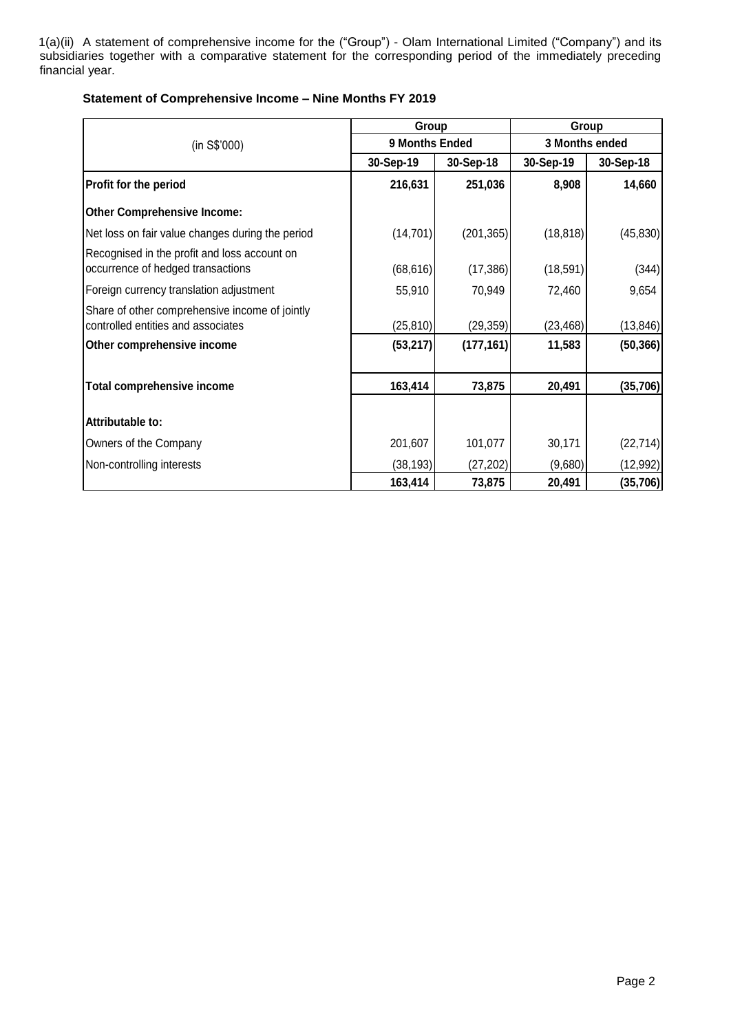1(a)(ii) A statement of comprehensive income for the ("Group") - Olam International Limited ("Company") and its subsidiaries together with a comparative statement for the corresponding period of the immediately preceding financial year.

|                                                                                      | Group          |            |           | Group          |
|--------------------------------------------------------------------------------------|----------------|------------|-----------|----------------|
| (in S\$'000)                                                                         | 9 Months Ended |            |           | 3 Months ended |
|                                                                                      | 30-Sep-19      | 30-Sep-18  | 30-Sep-19 | 30-Sep-18      |
| Profit for the period                                                                | 216,631        | 251,036    | 8,908     | 14,660         |
| <b>Other Comprehensive Income:</b>                                                   |                |            |           |                |
| Net loss on fair value changes during the period                                     | (14, 701)      | (201, 365) | (18, 818) | (45, 830)      |
| Recognised in the profit and loss account on<br>occurrence of hedged transactions    | (68, 616)      | (17, 386)  | (18, 591) | (344)          |
| Foreign currency translation adjustment                                              | 55,910         | 70,949     | 72,460    | 9,654          |
| Share of other comprehensive income of jointly<br>controlled entities and associates | (25, 810)      | (29, 359)  | (23, 468) | (13, 846)      |
| Other comprehensive income                                                           | (53, 217)      | (177, 161) | 11,583    | (50, 366)      |
| <b>Total comprehensive income</b>                                                    | 163,414        | 73,875     | 20,491    | (35, 706)      |
| Attributable to:                                                                     |                |            |           |                |
| Owners of the Company                                                                | 201,607        | 101,077    | 30,171    | (22, 714)      |
| Non-controlling interests                                                            | (38, 193)      | (27, 202)  | (9,680)   | (12, 992)      |
|                                                                                      | 163,414        | 73,875     | 20,491    | (35,706)       |

## **Statement of Comprehensive Income – Nine Months FY 2019**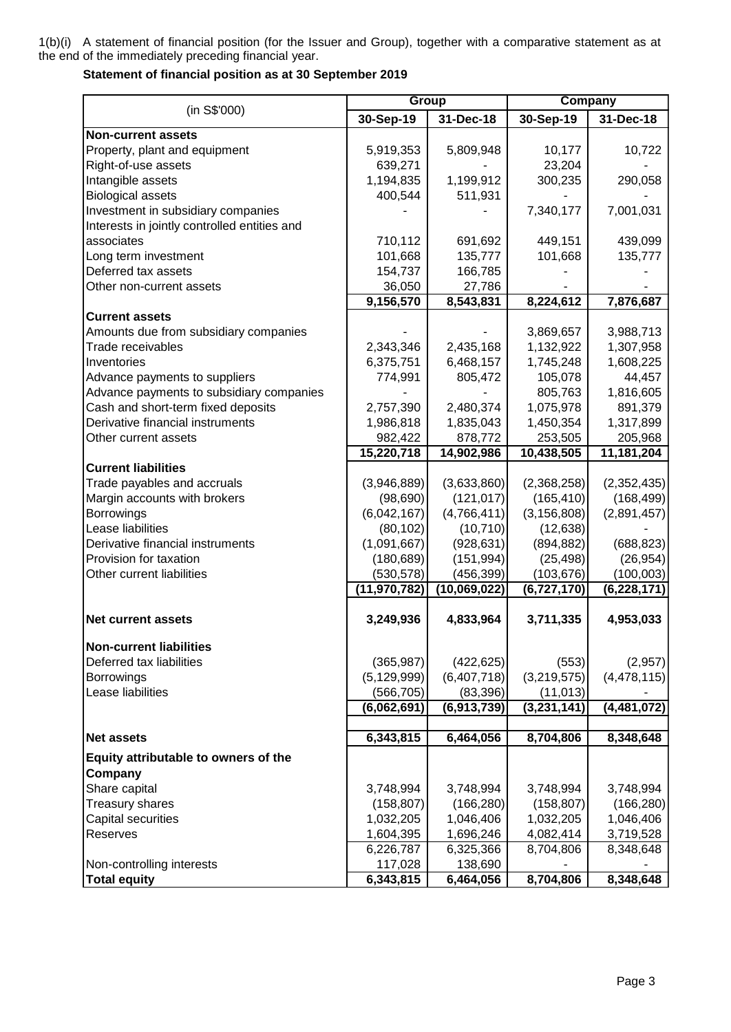1(b)(i) A statement of financial position (for the Issuer and Group), together with a comparative statement as at the end of the immediately preceding financial year.

## **Statement of financial position as at 30 September 2019**

|                                                  |                      | Group                |               | <b>Company</b> |
|--------------------------------------------------|----------------------|----------------------|---------------|----------------|
| (in S\$'000)                                     | 30-Sep-19            | 31-Dec-18            | 30-Sep-19     | 31-Dec-18      |
| <b>Non-current assets</b>                        |                      |                      |               |                |
| Property, plant and equipment                    | 5,919,353            | 5,809,948            | 10,177        | 10,722         |
| Right-of-use assets                              | 639,271              |                      | 23,204        |                |
| Intangible assets                                | 1,194,835            | 1,199,912            | 300,235       | 290,058        |
| <b>Biological assets</b>                         | 400,544              | 511,931              |               |                |
| Investment in subsidiary companies               |                      |                      | 7,340,177     | 7,001,031      |
| Interests in jointly controlled entities and     |                      |                      |               |                |
| associates                                       | 710,112              | 691,692              | 449,151       | 439,099        |
| Long term investment                             | 101,668              | 135,777              | 101,668       | 135,777        |
| Deferred tax assets                              | 154,737              | 166,785              |               |                |
| Other non-current assets                         | 36,050               | 27,786               |               |                |
|                                                  | 9,156,570            | 8,543,831            | 8,224,612     | 7,876,687      |
| <b>Current assets</b>                            |                      |                      |               |                |
| Amounts due from subsidiary companies            |                      |                      | 3,869,657     | 3,988,713      |
| Trade receivables                                | 2,343,346            | 2,435,168            | 1,132,922     | 1,307,958      |
| Inventories                                      | 6,375,751            | 6,468,157            | 1,745,248     | 1,608,225      |
| Advance payments to suppliers                    | 774,991              | 805,472              | 105,078       | 44,457         |
| Advance payments to subsidiary companies         |                      |                      | 805,763       | 1,816,605      |
| Cash and short-term fixed deposits               | 2,757,390            | 2,480,374            | 1,075,978     | 891,379        |
| Derivative financial instruments                 | 1,986,818            | 1,835,043            | 1,450,354     | 1,317,899      |
| Other current assets                             | 982,422              | 878,772              | 253,505       | 205,968        |
| <b>Current liabilities</b>                       | 15,220,718           | 14,902,986           | 10,438,505    | 11,181,204     |
| Trade payables and accruals                      | (3,946,889)          | (3,633,860)          | (2,368,258)   | (2,352,435)    |
| Margin accounts with brokers                     | (98, 690)            | (121, 017)           | (165, 410)    | (168, 499)     |
| Borrowings                                       | (6,042,167)          | (4,766,411)          | (3, 156, 808) | (2,891,457)    |
| Lease liabilities                                | (80, 102)            | (10, 710)            | (12, 638)     |                |
| Derivative financial instruments                 | (1,091,667)          | (928, 631)           | (894, 882)    | (688, 823)     |
| Provision for taxation                           | (180, 689)           | (151, 994)           | (25, 498)     | (26, 954)      |
| Other current liabilities                        | (530, 578)           | (456, 399)           | (103, 676)    | (100, 003)     |
|                                                  | (11, 970, 782)       | (10,069,022)         | (6,727,170)   | (6, 228, 171)  |
|                                                  |                      |                      |               |                |
| <b>Net current assets</b>                        | 3,249,936            | 4,833,964            | 3,711,335     | 4,953,033      |
| <b>Non-current liabilities</b>                   |                      |                      |               |                |
| Deferred tax liabilities                         | (365, 987)           | (422, 625)           | (553)         | (2,957)        |
| Borrowings                                       | (5, 129, 999)        | (6,407,718)          | (3,219,575)   | (4, 478, 115)  |
| Lease liabilities                                | (566, 705)           | (83, 396)            | (11, 013)     |                |
|                                                  | (6,062,691)          | (6,913,739)          | (3,231,141)   | (4,481,072)    |
|                                                  |                      |                      |               |                |
| <b>Net assets</b>                                | 6,343,815            | 6,464,056            | 8,704,806     | 8,348,648      |
| Equity attributable to owners of the             |                      |                      |               |                |
| Company                                          |                      |                      |               |                |
| Share capital                                    | 3,748,994            | 3,748,994            | 3,748,994     | 3,748,994      |
| Treasury shares                                  | (158, 807)           | (166, 280)           | (158, 807)    | (166, 280)     |
| Capital securities                               | 1,032,205            | 1,046,406            | 1,032,205     | 1,046,406      |
| Reserves                                         | 1,604,395            | 1,696,246            | 4,082,414     | 3,719,528      |
|                                                  | 6,226,787            | 6,325,366            | 8,704,806     | 8,348,648      |
| Non-controlling interests<br><b>Total equity</b> | 117,028<br>6,343,815 | 138,690<br>6,464,056 | 8,704,806     | 8,348,648      |
|                                                  |                      |                      |               |                |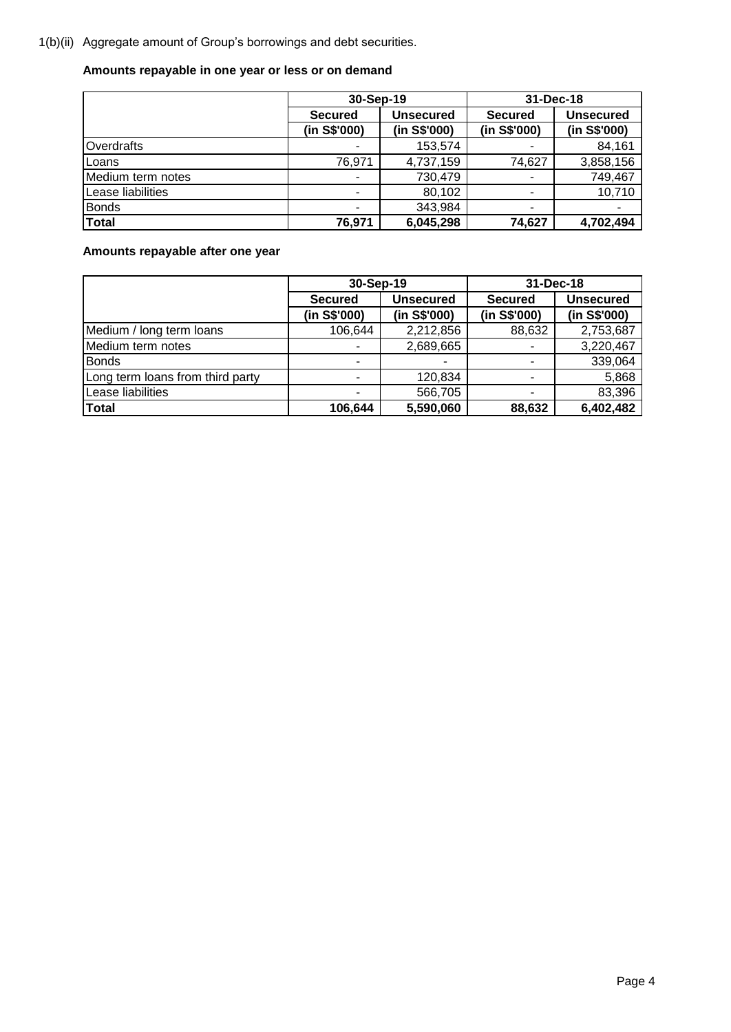1(b)(ii) Aggregate amount of Group's borrowings and debt securities.

# **Amounts repayable in one year or less or on demand**

|                   | 30-Sep-19                |                  | 31-Dec-18      |                  |
|-------------------|--------------------------|------------------|----------------|------------------|
|                   | <b>Secured</b>           | <b>Unsecured</b> | <b>Secured</b> | <b>Unsecured</b> |
|                   | (in S\$'000)             | (in S\$'000)     | (in S\$'000)   | (in S\$'000)     |
| Overdrafts        |                          | 153,574          |                | 84,161           |
| Loans             | 76,971                   | 4,737,159        | 74,627         | 3,858,156        |
| Medium term notes | -                        | 730,479          |                | 749,467          |
| Lease liabilities | $\overline{\phantom{a}}$ | 80,102           |                | 10,710           |
| <b>Bonds</b>      | -                        | 343,984          |                |                  |
| Total             | 76,971                   | 6,045,298        | 74,627         | 4,702,494        |

**Amounts repayable after one year**

|                                  | 30-Sep-19      |              | 31-Dec-18      |                  |  |  |
|----------------------------------|----------------|--------------|----------------|------------------|--|--|
|                                  | <b>Secured</b> | Unsecured    | <b>Secured</b> | <b>Unsecured</b> |  |  |
|                                  | (in S\$'000)   | (in S\$'000) | (in S\$'000)   | (in S\$'000)     |  |  |
| Medium / long term loans         | 106,644        | 2,212,856    | 88,632         | 2,753,687        |  |  |
| Medium term notes                |                | 2,689,665    |                | 3,220,467        |  |  |
| <b>Bonds</b>                     |                |              |                | 339,064          |  |  |
| Long term loans from third party |                | 120,834      |                | 5,868            |  |  |
| Lease liabilities                | ٠              | 566,705      | ۰              | 83,396           |  |  |
| <b>Total</b>                     | 106,644        | 5,590,060    | 88,632         | 6,402,482        |  |  |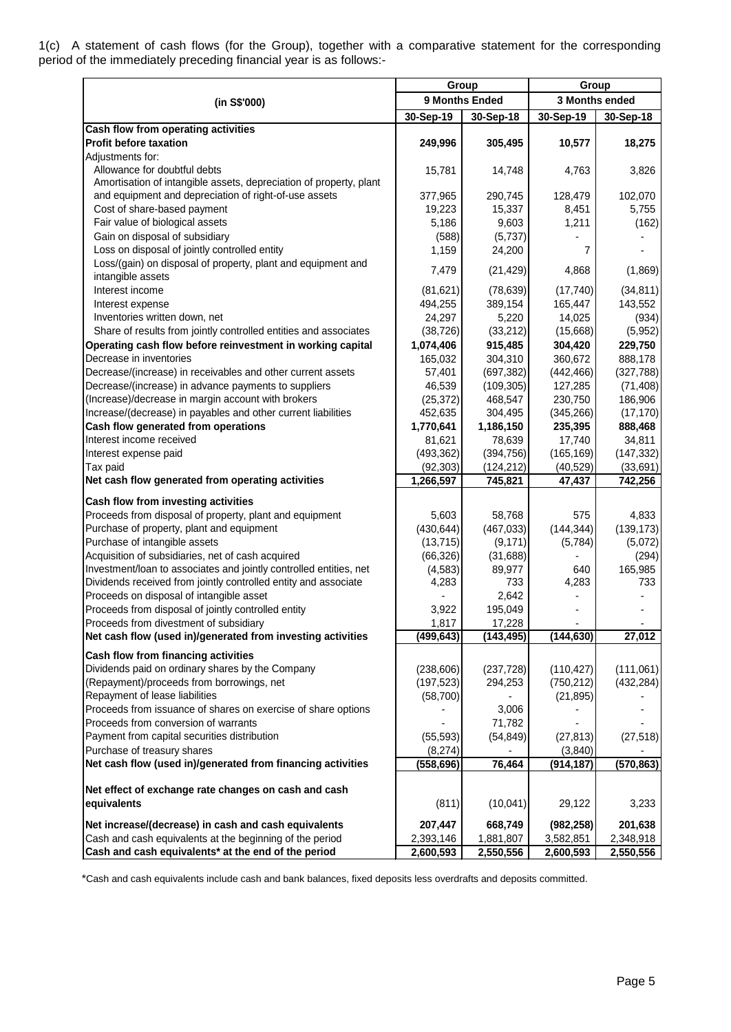1(c) A statement of cash flows (for the Group), together with a comparative statement for the corresponding period of the immediately preceding financial year is as follows:-

|                                                                                                                         |                     | Group                 |                    | Group                |
|-------------------------------------------------------------------------------------------------------------------------|---------------------|-----------------------|--------------------|----------------------|
| (in S\$'000)                                                                                                            |                     | 9 Months Ended        |                    | 3 Months ended       |
|                                                                                                                         | 30-Sep-19           | 30-Sep-18             | 30-Sep-19          | 30-Sep-18            |
| Cash flow from operating activities                                                                                     |                     |                       |                    |                      |
| <b>Profit before taxation</b>                                                                                           | 249,996             | 305,495               | 10,577             | 18,275               |
| Adjustments for:                                                                                                        |                     |                       |                    |                      |
| Allowance for doubtful debts                                                                                            | 15,781              | 14,748                | 4,763              | 3,826                |
| Amortisation of intangible assets, depreciation of property, plant                                                      |                     |                       |                    |                      |
| and equipment and depreciation of right-of-use assets                                                                   | 377,965             | 290,745               | 128,479            | 102,070              |
| Cost of share-based payment                                                                                             | 19,223              | 15,337                | 8,451              | 5,755                |
| Fair value of biological assets                                                                                         | 5,186               | 9,603                 | 1,211              | (162)                |
| Gain on disposal of subsidiary                                                                                          | (588)               | (5,737)               |                    |                      |
| Loss on disposal of jointly controlled entity                                                                           | 1,159               | 24,200                | 7                  |                      |
| Loss/(gain) on disposal of property, plant and equipment and                                                            | 7,479               | (21, 429)             | 4,868              | (1,869)              |
| intangible assets                                                                                                       |                     |                       |                    |                      |
| Interest income                                                                                                         | (81,621)            | (78, 639)             | (17, 740)          | (34, 811)            |
| Interest expense                                                                                                        | 494,255             | 389,154               | 165,447            | 143,552              |
| Inventories written down, net                                                                                           | 24,297              | 5,220                 | 14,025             | (934)                |
| Share of results from jointly controlled entities and associates                                                        | (38, 726)           | (33, 212)             | (15,668)           | (5,952)              |
| Operating cash flow before reinvestment in working capital                                                              | 1,074,406           | 915,485<br>304,310    | 304,420            | 229,750              |
| Decrease in inventories<br>Decrease/(increase) in receivables and other current assets                                  | 165,032             |                       | 360,672            | 888,178              |
| Decrease/(increase) in advance payments to suppliers                                                                    | 57,401              | (697, 382)            | (442, 466)         | (327, 788)           |
| (Increase)/decrease in margin account with brokers                                                                      | 46,539<br>(25, 372) | (109, 305)<br>468,547 | 127,285<br>230,750 | (71, 408)<br>186,906 |
| Increase/(decrease) in payables and other current liabilities                                                           | 452,635             | 304,495               | (345, 266)         | (17, 170)            |
| Cash flow generated from operations                                                                                     | 1,770,641           | 1,186,150             | 235,395            | 888,468              |
| Interest income received                                                                                                | 81,621              | 78,639                | 17,740             | 34,811               |
| Interest expense paid                                                                                                   | (493, 362)          | (394, 756)            | (165, 169)         | (147, 332)           |
| Tax paid                                                                                                                | (92, 303)           | (124, 212)            | (40, 529)          | (33, 691)            |
| Net cash flow generated from operating activities                                                                       | 1,266,597           | 745,821               | 47,437             | 742,256              |
|                                                                                                                         |                     |                       |                    |                      |
| Cash flow from investing activities                                                                                     |                     |                       |                    |                      |
| Proceeds from disposal of property, plant and equipment                                                                 | 5,603               | 58,768                | 575                | 4,833                |
| Purchase of property, plant and equipment                                                                               | (430, 644)          | (467, 033)            | (144, 344)         | (139, 173)           |
| Purchase of intangible assets                                                                                           | (13, 715)           | (9, 171)              | (5,784)            | (5,072)              |
| Acquisition of subsidiaries, net of cash acquired<br>Investment/loan to associates and jointly controlled entities, net | (66, 326)           | (31,688)              | 640                | (294)                |
| Dividends received from jointly controlled entity and associate                                                         | (4, 583)<br>4,283   | 89,977<br>733         | 4,283              | 165,985<br>733       |
| Proceeds on disposal of intangible asset                                                                                |                     | 2,642                 |                    |                      |
| Proceeds from disposal of jointly controlled entity                                                                     | 3,922               | 195,049               |                    |                      |
| Proceeds from divestment of subsidiary                                                                                  | 1,817               | 17,228                |                    |                      |
| Net cash flow (used in)/generated from investing activities                                                             | (499,643)           | (143, 495)            | (144, 630)         | 27,012               |
| Cash flow from financing activities                                                                                     |                     |                       |                    |                      |
| Dividends paid on ordinary shares by the Company                                                                        | (238, 606)          | (237, 728)            | (110, 427)         | (111,061)            |
| (Repayment)/proceeds from borrowings, net                                                                               | (197, 523)          | 294,253               | (750, 212)         | (432, 284)           |
| Repayment of lease liabilities                                                                                          | (58, 700)           |                       | (21, 895)          |                      |
| Proceeds from issuance of shares on exercise of share options                                                           |                     | 3,006                 |                    |                      |
| Proceeds from conversion of warrants                                                                                    |                     | 71,782                |                    |                      |
| Payment from capital securities distribution                                                                            | (55, 593)           | (54, 849)             | (27, 813)          | (27, 518)            |
| Purchase of treasury shares                                                                                             | (8,274)             |                       | (3,840)            |                      |
| Net cash flow (used in)/generated from financing activities                                                             | (558, 696)          | 76,464                | (914, 187)         | (570, 863)           |
|                                                                                                                         |                     |                       |                    |                      |
| Net effect of exchange rate changes on cash and cash                                                                    |                     |                       |                    |                      |
| equivalents                                                                                                             | (811)               | (10,041)              | 29,122             | 3,233                |
| Net increase/(decrease) in cash and cash equivalents                                                                    | 207,447             | 668,749               | (982, 258)         | 201,638              |
| Cash and cash equivalents at the beginning of the period                                                                | 2,393,146           | 1,881,807             | 3,582,851          | 2,348,918            |
| Cash and cash equivalents* at the end of the period                                                                     | 2,600,593           | 2,550,556             | 2,600,593          | 2,550,556            |

\*Cash and cash equivalents include cash and bank balances, fixed deposits less overdrafts and deposits committed.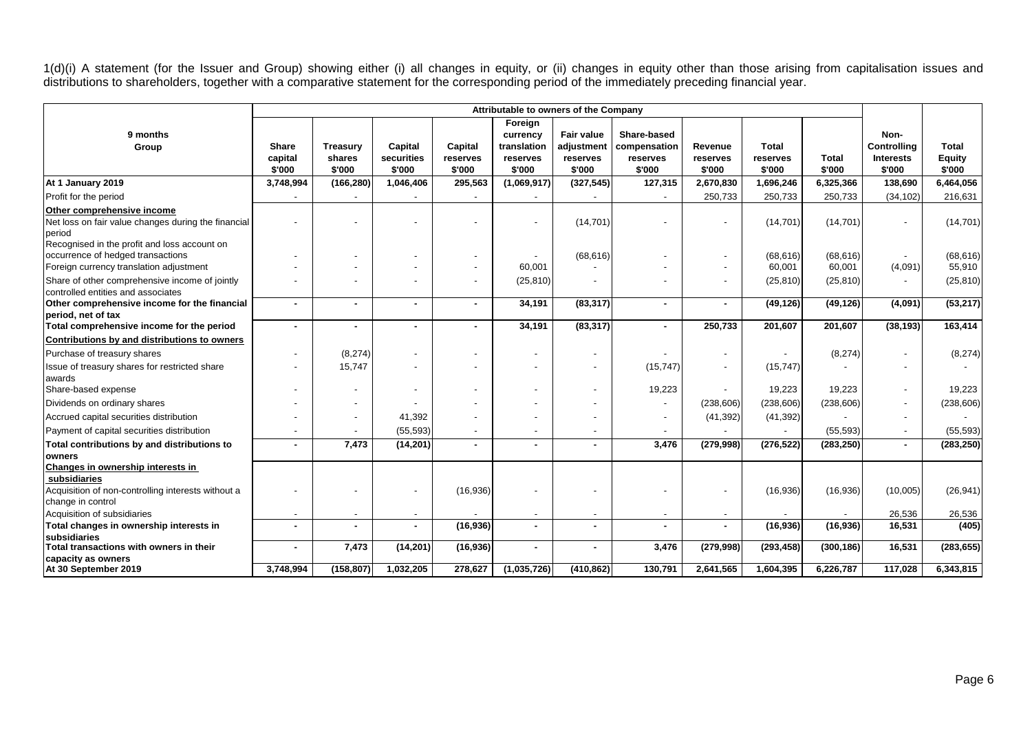1(d)(i) A statement (for the Issuer and Group) showing either (i) all changes in equity, or (ii) changes in equity other than those arising from capitalisation issues and distributions to shareholders, together with a comparative statement for the corresponding period of the immediately preceding financial year.

|                                                                                             |                            |                                     |                                 |                               |                                                          | Attributable to owners of the Company          |                                                   |                               |                                    |                     |                                                   |                                  |
|---------------------------------------------------------------------------------------------|----------------------------|-------------------------------------|---------------------------------|-------------------------------|----------------------------------------------------------|------------------------------------------------|---------------------------------------------------|-------------------------------|------------------------------------|---------------------|---------------------------------------------------|----------------------------------|
| 9 months<br>Group                                                                           | Share<br>capital<br>\$'000 | <b>Treasury</b><br>shares<br>\$'000 | Capital<br>securities<br>\$'000 | Capital<br>reserves<br>\$'000 | Foreign<br>currency<br>translation<br>reserves<br>\$'000 | Fair value<br>adjustment<br>reserves<br>\$'000 | Share-based<br>compensation<br>reserves<br>\$'000 | Revenue<br>reserves<br>\$'000 | <b>Total</b><br>reserves<br>\$'000 | Total<br>\$'000     | Non-<br>Controlling<br><b>Interests</b><br>\$'000 | Total<br><b>Equity</b><br>\$'000 |
| At 1 January 2019                                                                           | 3,748,994                  | (166, 280)                          | 1,046,406                       | 295,563                       | (1,069,917)                                              | (327, 545)                                     | 127,315                                           | 2,670,830                     | 1,696,246                          | 6,325,366           | 138,690                                           | 6,464,056                        |
| Profit for the period                                                                       |                            |                                     |                                 |                               |                                                          |                                                |                                                   | 250,733                       | 250,733                            | 250,733             | (34, 102)                                         | 216,631                          |
| Other comprehensive income<br>Net loss on fair value changes during the financial<br>period |                            |                                     |                                 |                               |                                                          | (14, 701)                                      |                                                   |                               | (14, 701)                          | (14, 701)           |                                                   | (14, 701)                        |
| Recognised in the profit and loss account on                                                |                            |                                     |                                 |                               |                                                          |                                                |                                                   |                               |                                    |                     |                                                   |                                  |
| occurrence of hedged transactions<br>Foreign currency translation adjustment                |                            |                                     |                                 |                               | 60,001                                                   | (68, 616)                                      |                                                   |                               | (68, 616)<br>60,001                | (68, 616)<br>60,001 | (4,091)                                           | (68, 616)<br>55,910              |
|                                                                                             |                            |                                     |                                 |                               |                                                          |                                                |                                                   |                               |                                    |                     |                                                   |                                  |
| Share of other comprehensive income of jointly<br>controlled entities and associates        |                            |                                     |                                 | $\overline{\phantom{a}}$      | (25, 810)                                                |                                                |                                                   | $\overline{\phantom{a}}$      | (25, 810)                          | (25, 810)           |                                                   | (25, 810)                        |
| Other comprehensive income for the financial                                                | $\blacksquare$             | $\sim$                              |                                 | $\sim$                        | 34,191                                                   | (83, 317)                                      | $\blacksquare$                                    | $\sim$                        | (49, 126)                          | (49, 126)           | (4,091)                                           | (53, 217)                        |
| period, net of tax                                                                          |                            |                                     |                                 |                               |                                                          |                                                |                                                   |                               |                                    |                     |                                                   |                                  |
| Total comprehensive income for the period                                                   | $\blacksquare$             |                                     |                                 | $\blacksquare$                | 34,191                                                   | (83, 317)                                      | ٠                                                 | 250,733                       | 201,607                            | 201,607             | (38, 193)                                         | 163,414                          |
| Contributions by and distributions to owners                                                |                            |                                     |                                 |                               |                                                          |                                                |                                                   |                               |                                    |                     |                                                   |                                  |
| Purchase of treasury shares                                                                 | $\overline{\phantom{a}}$   | (8,274)                             |                                 | $\overline{\phantom{a}}$      |                                                          |                                                |                                                   |                               |                                    | (8,274)             |                                                   | (8,274)                          |
| Issue of treasury shares for restricted share                                               |                            | 15,747                              |                                 | $\overline{\phantom{a}}$      |                                                          |                                                | (15, 747)                                         | $\overline{\phantom{a}}$      | (15, 747)                          |                     |                                                   |                                  |
| awards                                                                                      |                            |                                     |                                 |                               |                                                          |                                                |                                                   |                               |                                    |                     |                                                   |                                  |
| Share-based expense                                                                         |                            |                                     |                                 | $\overline{\phantom{a}}$      |                                                          |                                                | 19,223                                            | $\overline{\phantom{a}}$      | 19,223                             | 19,223              |                                                   | 19,223                           |
| Dividends on ordinary shares                                                                |                            |                                     |                                 |                               |                                                          |                                                |                                                   | (238, 606)                    | (238, 606)                         | (238, 606)          | $\blacksquare$                                    | (238, 606)                       |
| Accrued capital securities distribution                                                     |                            |                                     | 41,392                          |                               |                                                          |                                                |                                                   | (41, 392)                     | (41, 392)                          |                     |                                                   |                                  |
| Payment of capital securities distribution                                                  |                            |                                     | (55, 593)                       | $\overline{\phantom{a}}$      |                                                          |                                                |                                                   |                               |                                    | (55, 593)           |                                                   | (55, 593)                        |
| Total contributions by and distributions to                                                 |                            | 7,473                               | (14, 201)                       | ٠                             |                                                          |                                                | 3,476                                             | (279, 998)                    | (276, 522)                         | (283, 250)          |                                                   | (283, 250)                       |
| owners                                                                                      |                            |                                     |                                 |                               |                                                          |                                                |                                                   |                               |                                    |                     |                                                   |                                  |
| Changes in ownership interests in<br>subsidiaries                                           |                            |                                     |                                 |                               |                                                          |                                                |                                                   |                               |                                    |                     |                                                   |                                  |
| Acquisition of non-controlling interests without a                                          |                            |                                     |                                 | (16,936)                      |                                                          |                                                |                                                   |                               | (16, 936)                          | (16,936)            | (10,005)                                          | (26, 941)                        |
| change in control                                                                           |                            |                                     |                                 |                               |                                                          |                                                |                                                   |                               |                                    |                     |                                                   |                                  |
| Acquisition of subsidiaries                                                                 | $\overline{\phantom{0}}$   |                                     |                                 |                               |                                                          |                                                |                                                   | $\overline{\phantom{a}}$      |                                    |                     | 26,536                                            | 26,536                           |
| Total changes in ownership interests in                                                     | $\sim$                     | $\sim$                              |                                 | (16, 936)                     |                                                          | ٠                                              |                                                   | $\sim$                        | (16, 936)                          | (16, 936)           | 16,531                                            | (405)                            |
| <b>subsidiaries</b>                                                                         |                            |                                     |                                 |                               |                                                          |                                                |                                                   |                               |                                    |                     |                                                   |                                  |
| Total transactions with owners in their                                                     | $\blacksquare$             | 7,473                               | (14, 201)                       | (16, 936)                     | $\blacksquare$                                           | $\blacksquare$                                 | 3,476                                             | (279,998)                     | (293, 458)                         | (300, 186)          | 16,531                                            | (283, 655)                       |
| capacity as owners                                                                          |                            |                                     |                                 |                               |                                                          |                                                |                                                   |                               |                                    |                     |                                                   |                                  |
| At 30 September 2019                                                                        | 3,748,994                  | (158, 807)                          | 1,032,205                       | 278,627                       | (1,035,726)                                              | (410, 862)                                     | 130,791                                           | 2,641,565                     | 1,604,395                          | 6,226,787           | 117,028                                           | 6,343,815                        |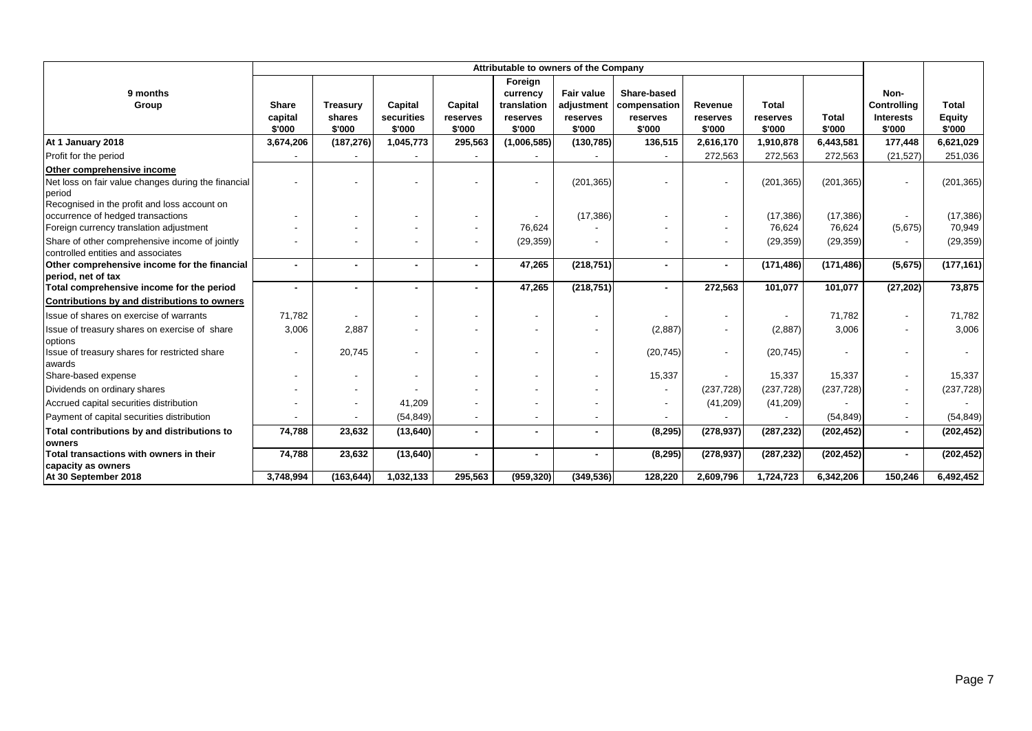|                                                                    |                          |                          |            |                          |                | Attributable to owners of the Company |              |                          |              |            |                          |               |
|--------------------------------------------------------------------|--------------------------|--------------------------|------------|--------------------------|----------------|---------------------------------------|--------------|--------------------------|--------------|------------|--------------------------|---------------|
|                                                                    |                          |                          |            |                          | Foreign        |                                       |              |                          |              |            |                          |               |
| 9 months                                                           |                          |                          |            |                          | currency       | <b>Fair value</b>                     | Share-based  |                          |              |            | Non-                     |               |
| Group                                                              | Share                    | <b>Treasury</b>          | Capital    | Capital                  | translation    | adjustment                            | compensation | Revenue                  | <b>Total</b> |            | Controlling              | <b>Total</b>  |
|                                                                    | capital                  | shares                   | securities | reserves                 | reserves       | reserves                              | reserves     | reserves                 | reserves     | Total      | <b>Interests</b>         | <b>Equity</b> |
|                                                                    | \$'000                   | \$'000                   | \$'000     | \$'000                   | \$'000         | \$'000                                | \$'000       | \$'000                   | \$'000       | \$'000     | \$'000                   | \$'000        |
| At 1 January 2018                                                  | 3,674,206                | (187, 276)               | 1,045,773  | 295,563                  | (1,006,585)    | (130, 785)                            | 136,515      | 2,616,170                | 1,910,878    | 6,443,581  | 177,448                  | 6,621,029     |
| Profit for the period                                              |                          |                          |            |                          |                |                                       |              | 272,563                  | 272,563      | 272,563    | (21, 527)                | 251,036       |
| Other comprehensive income                                         |                          |                          |            |                          |                |                                       |              |                          |              |            |                          |               |
| Net loss on fair value changes during the financial                |                          |                          |            |                          |                | (201, 365)                            |              | $\overline{\phantom{a}}$ | (201, 365)   | (201, 365) |                          | (201, 365)    |
| period                                                             |                          |                          |            |                          |                |                                       |              |                          |              |            |                          |               |
| Recognised in the profit and loss account on                       |                          |                          |            |                          |                |                                       |              |                          |              |            |                          |               |
| occurrence of hedged transactions                                  |                          |                          |            | $\overline{\phantom{a}}$ |                | (17, 386)                             |              | $\overline{\phantom{a}}$ | (17, 386)    | (17, 386)  |                          | (17, 386)     |
| Foreign currency translation adjustment                            |                          |                          |            | $\blacksquare$           | 76,624         |                                       |              | $\overline{\phantom{a}}$ | 76,624       | 76,624     | (5,675)                  | 70,949        |
| Share of other comprehensive income of jointly                     | $\overline{\phantom{a}}$ |                          |            | $\blacksquare$           | (29, 359)      |                                       |              | $\overline{\phantom{a}}$ | (29, 359)    | (29, 359)  |                          | (29, 359)     |
| controlled entities and associates                                 |                          |                          |            |                          |                |                                       |              |                          |              |            |                          |               |
| Other comprehensive income for the financial<br>period, net of tax | ٠                        | $\blacksquare$           |            | $\blacksquare$           | 47,265         | (218, 751)                            |              | $\sim$                   | (171, 486)   | (171, 486) | (5,675)                  | (177, 161)    |
| Total comprehensive income for the period                          | $\blacksquare$           | $\blacksquare$           |            | $\blacksquare$           | 47,265         | (218, 751)                            |              | 272,563                  | 101,077      | 101,077    | (27, 202)                | 73,875        |
| Contributions by and distributions to owners                       |                          |                          |            |                          |                |                                       |              |                          |              |            |                          |               |
| Issue of shares on exercise of warrants                            | 71,782                   |                          |            |                          |                |                                       |              | $\overline{\phantom{a}}$ |              | 71,782     | $\overline{\phantom{a}}$ | 71,782        |
| Issue of treasury shares on exercise of share                      | 3,006                    | 2,887                    |            |                          |                | $\overline{\phantom{a}}$              | (2,887)      | $\overline{\phantom{a}}$ | (2,887)      | 3,006      |                          | 3,006         |
| options                                                            |                          |                          |            |                          |                |                                       |              |                          |              |            |                          |               |
| Issue of treasury shares for restricted share                      | $\blacksquare$           | 20,745                   |            | $\blacksquare$           |                |                                       | (20, 745)    | $\sim$                   | (20, 745)    |            |                          |               |
| awards                                                             |                          |                          |            |                          |                |                                       |              |                          |              |            |                          |               |
| Share-based expense                                                |                          |                          |            |                          |                |                                       | 15,337       |                          | 15,337       | 15,337     |                          | 15,337        |
| Dividends on ordinary shares                                       |                          | $\overline{\phantom{a}}$ |            |                          |                |                                       |              | (237, 728)               | (237, 728)   | (237, 728) |                          | (237, 728)    |
| Accrued capital securities distribution                            | $\overline{\phantom{a}}$ | $\overline{\phantom{a}}$ | 41,209     |                          |                |                                       |              | (41,209)                 | (41, 209)    |            |                          |               |
| Payment of capital securities distribution                         |                          |                          | (54, 849)  |                          |                |                                       |              |                          |              | (54, 849)  |                          | (54, 849)     |
| Total contributions by and distributions to                        | 74,788                   | 23,632                   | (13, 640)  | $\blacksquare$           | $\blacksquare$ |                                       | (8, 295)     | (278, 937)               | (287, 232)   | (202, 452) | $\blacksquare$           | (202, 452)    |
| owners                                                             |                          |                          |            |                          |                |                                       |              |                          |              |            |                          |               |
| Total transactions with owners in their                            | 74,788                   | 23,632                   | (13, 640)  | $\blacksquare$           | $\blacksquare$ |                                       | (8, 295)     | (278, 937)               | (287, 232)   | (202, 452) | $\blacksquare$           | (202, 452)    |
| capacity as owners                                                 |                          |                          |            |                          |                |                                       |              |                          |              |            |                          |               |
| At 30 September 2018                                               | 3,748,994                | (163, 644)               | 1,032,133  | 295,563                  | (959, 320)     | (349, 536)                            | 128,220      | 2,609,796                | 1,724,723    | 6,342,206  | 150,246                  | 6,492,452     |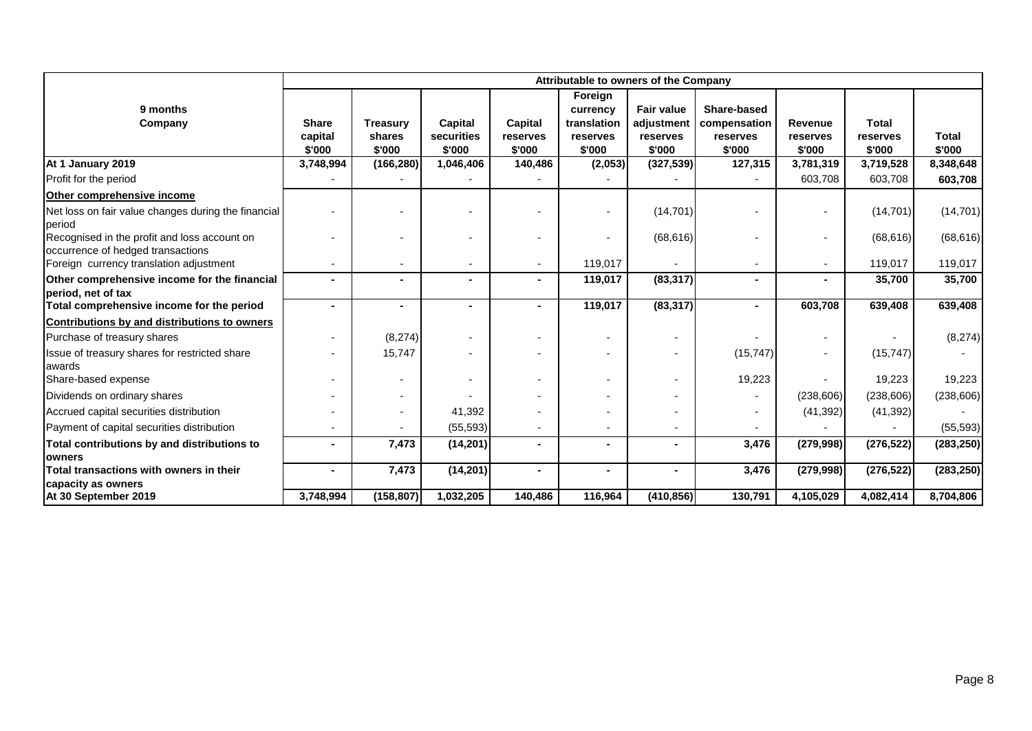|                                                                                   |                                   | Attributable to owners of the Company |                                 |                               |                                                          |                                                       |                                                   |                               |                                    |                        |  |  |
|-----------------------------------------------------------------------------------|-----------------------------------|---------------------------------------|---------------------------------|-------------------------------|----------------------------------------------------------|-------------------------------------------------------|---------------------------------------------------|-------------------------------|------------------------------------|------------------------|--|--|
| 9 months<br>Company                                                               | <b>Share</b><br>capital<br>\$'000 | <b>Treasury</b><br>shares<br>\$'000   | Capital<br>securities<br>\$'000 | Capital<br>reserves<br>\$'000 | Foreign<br>currency<br>translation<br>reserves<br>\$'000 | <b>Fair value</b><br>adjustment<br>reserves<br>\$'000 | Share-based<br>compensation<br>reserves<br>\$'000 | Revenue<br>reserves<br>\$'000 | <b>Total</b><br>reserves<br>\$'000 | <b>Total</b><br>\$'000 |  |  |
| At 1 January 2019                                                                 | 3,748,994                         | (166, 280)                            | 1,046,406                       | 140,486                       | (2,053)                                                  | (327, 539)                                            | 127,315                                           | 3,781,319                     | 3,719,528                          | 8,348,648              |  |  |
| Profit for the period                                                             |                                   |                                       |                                 |                               |                                                          |                                                       |                                                   | 603,708                       | 603,708                            | 603,708                |  |  |
| Other comprehensive income                                                        |                                   |                                       |                                 |                               |                                                          |                                                       |                                                   |                               |                                    |                        |  |  |
| Net loss on fair value changes during the financial<br>period                     |                                   |                                       |                                 |                               |                                                          | (14, 701)                                             |                                                   |                               | (14, 701)                          | (14, 701)              |  |  |
| Recognised in the profit and loss account on<br>occurrence of hedged transactions |                                   |                                       |                                 |                               |                                                          | (68, 616)                                             |                                                   |                               | (68, 616)                          | (68, 616)              |  |  |
| Foreign currency translation adjustment                                           |                                   | $\blacksquare$                        |                                 |                               | 119,017                                                  |                                                       |                                                   | $\overline{\phantom{a}}$      | 119,017                            | 119,017                |  |  |
| Other comprehensive income for the financial<br>period, net of tax                |                                   |                                       |                                 |                               | 119,017                                                  | (83, 317)                                             |                                                   | $\blacksquare$                | 35,700                             | 35,700                 |  |  |
| Total comprehensive income for the period                                         |                                   | $\blacksquare$                        |                                 |                               | 119,017                                                  | (83, 317)                                             |                                                   | 603,708                       | 639,408                            | 639,408                |  |  |
| Contributions by and distributions to owners                                      |                                   |                                       |                                 |                               |                                                          |                                                       |                                                   |                               |                                    |                        |  |  |
| Purchase of treasury shares                                                       |                                   | (8,274)                               |                                 |                               |                                                          |                                                       |                                                   |                               |                                    | (8,274)                |  |  |
| Issue of treasury shares for restricted share<br>awards                           |                                   | 15,747                                |                                 |                               |                                                          |                                                       | (15, 747)                                         | ٠                             | (15, 747)                          |                        |  |  |
| Share-based expense                                                               |                                   |                                       |                                 |                               |                                                          | $\overline{\phantom{a}}$                              | 19,223                                            |                               | 19,223                             | 19,223                 |  |  |
| Dividends on ordinary shares                                                      |                                   |                                       |                                 |                               |                                                          |                                                       |                                                   | (238, 606)                    | (238, 606)                         | (238, 606)             |  |  |
| Accrued capital securities distribution                                           |                                   |                                       | 41,392                          |                               |                                                          |                                                       |                                                   | (41, 392)                     | (41, 392)                          |                        |  |  |
| Payment of capital securities distribution                                        |                                   |                                       | (55, 593)                       |                               |                                                          | $\overline{\phantom{a}}$                              |                                                   |                               |                                    | (55, 593)              |  |  |
| Total contributions by and distributions to                                       |                                   | 7,473                                 | (14, 201)                       | $\blacksquare$                | ۰.                                                       | ۰                                                     | 3,476                                             | (279, 998)                    | (276, 522)                         | (283, 250)             |  |  |
| <b>lowners</b>                                                                    |                                   |                                       |                                 |                               |                                                          |                                                       |                                                   |                               |                                    |                        |  |  |
| Total transactions with owners in their                                           | $\sim$                            | 7,473                                 | (14, 201)                       | ä,                            | $\sim$                                                   | $\sim$                                                | 3,476                                             | (279, 998)                    | (276, 522)                         | (283, 250)             |  |  |
| capacity as owners<br>At 30 September 2019                                        | 3,748,994                         | (158, 807)                            | 1,032,205                       | 140,486                       | 116,964                                                  | (410, 856)                                            | 130,791                                           | 4,105,029                     | 4,082,414                          | 8,704,806              |  |  |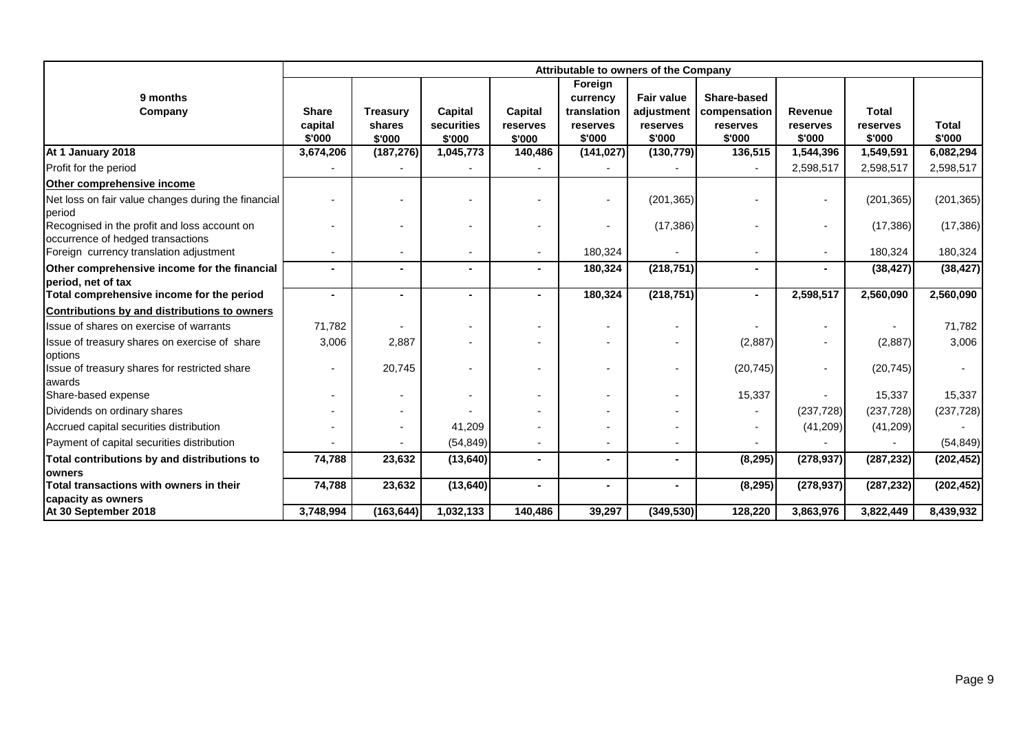|                                                                                   |                                   | Attributable to owners of the Company |                                 |                               |                                                          |                                                       |                                                   |                               |                                    |                 |  |  |
|-----------------------------------------------------------------------------------|-----------------------------------|---------------------------------------|---------------------------------|-------------------------------|----------------------------------------------------------|-------------------------------------------------------|---------------------------------------------------|-------------------------------|------------------------------------|-----------------|--|--|
| 9 months<br>Company                                                               | <b>Share</b><br>capital<br>\$'000 | <b>Treasury</b><br>shares<br>\$'000   | Capital<br>securities<br>\$'000 | Capital<br>reserves<br>\$'000 | Foreign<br>currency<br>translation<br>reserves<br>\$'000 | <b>Fair value</b><br>adjustment<br>reserves<br>\$'000 | Share-based<br>compensation<br>reserves<br>\$'000 | Revenue<br>reserves<br>\$'000 | <b>Total</b><br>reserves<br>\$'000 | Total<br>\$'000 |  |  |
| At 1 January 2018                                                                 | 3,674,206                         | (187, 276)                            | 1,045,773                       | 140,486                       | (141, 027)                                               | (130, 779)                                            | 136,515                                           | 1,544,396                     | 1,549,591                          | 6,082,294       |  |  |
| Profit for the period                                                             |                                   |                                       |                                 |                               |                                                          |                                                       |                                                   | 2,598,517                     | 2,598,517                          | 2,598,517       |  |  |
| Other comprehensive income                                                        |                                   |                                       |                                 |                               |                                                          |                                                       |                                                   |                               |                                    |                 |  |  |
| Net loss on fair value changes during the financial<br>period                     |                                   |                                       |                                 |                               |                                                          | (201, 365)                                            |                                                   | $\overline{a}$                | (201, 365)                         | (201, 365)      |  |  |
| Recognised in the profit and loss account on<br>occurrence of hedged transactions |                                   |                                       |                                 |                               |                                                          | (17, 386)                                             |                                                   | $\blacksquare$                | (17,386)                           | (17, 386)       |  |  |
| Foreign currency translation adjustment                                           |                                   |                                       |                                 |                               | 180,324                                                  |                                                       |                                                   | ٠                             | 180,324                            | 180,324         |  |  |
| Other comprehensive income for the financial<br>period, net of tax                |                                   |                                       |                                 |                               | 180,324                                                  | (218, 751)                                            |                                                   | $\blacksquare$                | (38, 427)                          | (38, 427)       |  |  |
| Total comprehensive income for the period                                         |                                   |                                       |                                 |                               | 180,324                                                  | (218, 751)                                            |                                                   | 2,598,517                     | 2,560,090                          | 2,560,090       |  |  |
| Contributions by and distributions to owners                                      |                                   |                                       |                                 |                               |                                                          |                                                       |                                                   |                               |                                    |                 |  |  |
| Issue of shares on exercise of warrants                                           | 71,782                            |                                       |                                 |                               |                                                          | ۰                                                     |                                                   | $\blacksquare$                |                                    | 71,782          |  |  |
| Issue of treasury shares on exercise of share<br>options                          | 3,006                             | 2,887                                 |                                 |                               |                                                          |                                                       | (2,887)                                           |                               | (2,887)                            | 3,006           |  |  |
| Issue of treasury shares for restricted share<br>awards                           |                                   | 20,745                                |                                 |                               |                                                          |                                                       | (20, 745)                                         |                               | (20, 745)                          |                 |  |  |
| Share-based expense                                                               |                                   |                                       |                                 |                               |                                                          |                                                       | 15,337                                            |                               | 15,337                             | 15,337          |  |  |
| Dividends on ordinary shares                                                      |                                   |                                       |                                 |                               |                                                          |                                                       |                                                   | (237, 728)                    | (237, 728)                         | (237, 728)      |  |  |
| Accrued capital securities distribution                                           |                                   |                                       | 41,209                          |                               |                                                          |                                                       |                                                   | (41,209)                      | (41, 209)                          |                 |  |  |
| Payment of capital securities distribution                                        |                                   |                                       | (54, 849)                       |                               |                                                          |                                                       |                                                   |                               |                                    | (54, 849)       |  |  |
| Total contributions by and distributions to                                       | 74,788                            | 23,632                                | (13, 640)                       | $\blacksquare$                | $\blacksquare$                                           | $\blacksquare$                                        | (8, 295)                                          | (278, 937)                    | (287, 232)                         | (202, 452)      |  |  |
| <b>owners</b><br>Total transactions with owners in their                          | 74,788                            | 23,632                                | (13, 640)                       |                               |                                                          | $\blacksquare$                                        | (8, 295)                                          | (278, 937)                    | (287, 232)                         | (202, 452)      |  |  |
| capacity as owners                                                                |                                   |                                       |                                 |                               |                                                          |                                                       |                                                   |                               |                                    |                 |  |  |
| At 30 September 2018                                                              | 3,748,994                         | (163, 644)                            | 1,032,133                       | 140,486                       | 39,297                                                   | (349, 530)                                            | 128,220                                           | 3,863,976                     | 3,822,449                          | 8,439,932       |  |  |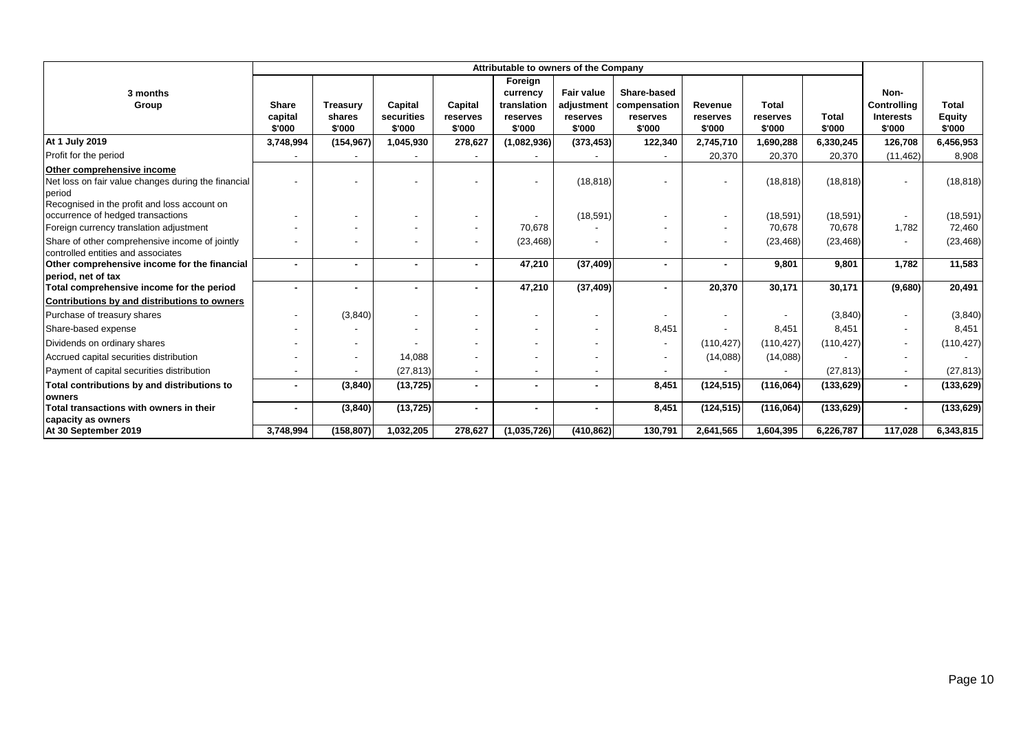|                                                                                                                                             |                                   |                                     |                                 |                               | Attributable to owners of the Company                    |                                                |                                                   |                               |                                    |                        |                                                          |                                         |
|---------------------------------------------------------------------------------------------------------------------------------------------|-----------------------------------|-------------------------------------|---------------------------------|-------------------------------|----------------------------------------------------------|------------------------------------------------|---------------------------------------------------|-------------------------------|------------------------------------|------------------------|----------------------------------------------------------|-----------------------------------------|
| 3 months<br>Group                                                                                                                           | <b>Share</b><br>capital<br>\$'000 | <b>Treasury</b><br>shares<br>\$'000 | Capital<br>securities<br>\$'000 | Capital<br>reserves<br>\$'000 | Foreign<br>currency<br>translation<br>reserves<br>\$'000 | Fair value<br>adjustment<br>reserves<br>\$'000 | Share-based<br>compensation<br>reserves<br>\$'000 | Revenue<br>reserves<br>\$'000 | <b>Total</b><br>reserves<br>\$'000 | <b>Total</b><br>\$'000 | Non-<br><b>Controlling</b><br><b>Interests</b><br>\$'000 | <b>Total</b><br><b>Equity</b><br>\$'000 |
| At 1 July 2019                                                                                                                              | 3,748,994                         | (154, 967)                          | 1,045,930                       | 278,627                       | (1,082,936)                                              | (373, 453)                                     | 122,340                                           | 2,745,710                     | 1,690,288                          | 6,330,245              | 126,708                                                  | 6,456,953                               |
| Profit for the period                                                                                                                       |                                   |                                     |                                 |                               |                                                          |                                                |                                                   | 20,370                        | 20,370                             | 20,370                 | (11, 462)                                                | 8,908                                   |
| Other comprehensive income<br>Net loss on fair value changes during the financial<br>period<br>Recognised in the profit and loss account on |                                   |                                     |                                 |                               |                                                          | (18, 818)                                      |                                                   |                               | (18, 818)                          | (18, 818)              |                                                          | (18, 818)                               |
| occurrence of hedged transactions                                                                                                           |                                   |                                     |                                 |                               |                                                          | (18, 591)                                      |                                                   | $\sim$                        | (18, 591)                          | (18, 591)              |                                                          | (18, 591)                               |
| Foreign currency translation adjustment                                                                                                     |                                   |                                     |                                 | $\overline{\phantom{a}}$      | 70,678                                                   |                                                |                                                   | $\sim$                        | 70,678                             | 70,678                 | 1,782                                                    | 72,460                                  |
| Share of other comprehensive income of jointly<br>controlled entities and associates                                                        |                                   |                                     |                                 | $\overline{\phantom{a}}$      | (23, 468)                                                |                                                |                                                   | $\overline{a}$                | (23, 468)                          | (23, 468)              |                                                          | (23, 468)                               |
| Other comprehensive income for the financial<br>period, net of tax                                                                          | $\blacksquare$                    |                                     |                                 | $\blacksquare$                | 47,210                                                   | (37, 409)                                      |                                                   | $\blacksquare$                | 9.801                              | 9,801                  | 1.782                                                    | 11,583                                  |
| Total comprehensive income for the period                                                                                                   | $\blacksquare$                    |                                     |                                 |                               | 47,210                                                   | (37, 409)                                      |                                                   | 20,370                        | 30,171                             | 30,171                 | (9,680)                                                  | 20,491                                  |
| Contributions by and distributions to owners                                                                                                |                                   |                                     |                                 |                               |                                                          |                                                |                                                   |                               |                                    |                        |                                                          |                                         |
| Purchase of treasury shares                                                                                                                 | $\overline{\phantom{a}}$          | (3,840)                             |                                 |                               |                                                          |                                                |                                                   | $\overline{\phantom{a}}$      |                                    | (3,840)                | $\overline{\phantom{a}}$                                 | (3,840)                                 |
| Share-based expense                                                                                                                         | $\overline{\phantom{a}}$          |                                     |                                 |                               |                                                          | $\overline{\phantom{a}}$                       | 8,451                                             |                               | 8.451                              | 8.451                  |                                                          | 8.451                                   |
| Dividends on ordinary shares                                                                                                                |                                   |                                     |                                 |                               |                                                          |                                                |                                                   | (110, 427)                    | (110, 427)                         | (110, 427)             |                                                          | (110, 427)                              |
| Accrued capital securities distribution                                                                                                     | $\blacksquare$                    |                                     | 14,088                          |                               |                                                          |                                                |                                                   | (14,088)                      | (14,088)                           |                        |                                                          |                                         |
| Payment of capital securities distribution                                                                                                  | $\blacksquare$                    |                                     | (27, 813)                       | $\overline{\phantom{a}}$      |                                                          | $\overline{\phantom{a}}$                       |                                                   |                               |                                    | (27, 813)              |                                                          | (27, 813)                               |
| Total contributions by and distributions to                                                                                                 | ٠                                 | (3, 840)                            | (13, 725)                       |                               |                                                          |                                                | 8,451                                             | (124, 515)                    | (116,064)                          | (133, 629)             |                                                          | (133, 629)                              |
| owners                                                                                                                                      |                                   |                                     |                                 |                               |                                                          |                                                |                                                   |                               |                                    |                        |                                                          |                                         |
| Total transactions with owners in their                                                                                                     | ٠                                 | (3, 840)                            | (13, 725)                       | $\blacksquare$                |                                                          | $\blacksquare$                                 | 8,451                                             | (124, 515)                    | (116,064)                          | (133, 629)             | $\sim$                                                   | (133, 629)                              |
| capacity as owners<br>At 30 September 2019                                                                                                  | 3,748,994                         | (158, 807)                          | 1,032,205                       | 278,627                       | (1,035,726)                                              | (410, 862)                                     | 130,791                                           | 2,641,565                     | 1,604,395                          | 6,226,787              | 117,028                                                  | 6,343,815                               |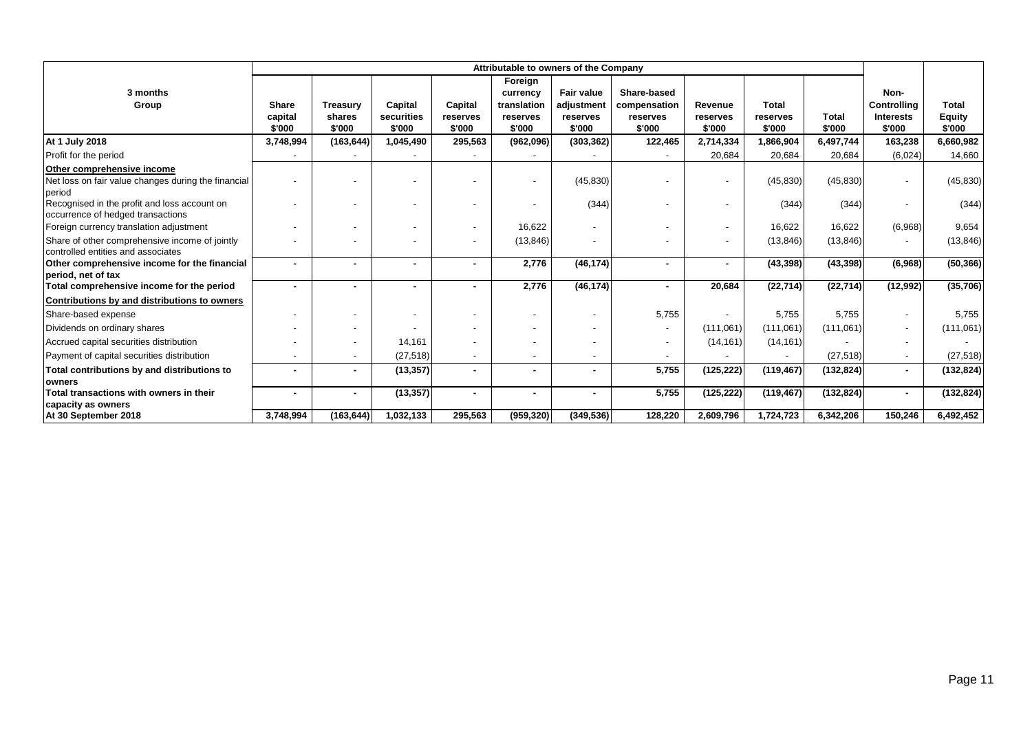|                                                                                      | Attributable to owners of the Company |                 |            |                          |             |                   |                          |                          |              |              |                    |               |
|--------------------------------------------------------------------------------------|---------------------------------------|-----------------|------------|--------------------------|-------------|-------------------|--------------------------|--------------------------|--------------|--------------|--------------------|---------------|
|                                                                                      |                                       |                 |            |                          | Foreign     |                   |                          |                          |              |              |                    |               |
| 3 months                                                                             |                                       |                 |            |                          | currency    | <b>Fair value</b> | Share-based              |                          |              |              | Non-               |               |
| Group                                                                                | <b>Share</b>                          | <b>Treasurv</b> | Capital    | Capital                  | translation | adjustment        | compensation             | <b>Revenue</b>           | <b>Total</b> |              | <b>Controlling</b> | Total         |
|                                                                                      | capital                               | shares          | securities | reserves                 | reserves    | reserves          | reserves                 | reserves                 | reserves     | <b>Total</b> | <b>Interests</b>   | <b>Equity</b> |
|                                                                                      | \$'000                                | \$'000          | \$'000     | \$'000                   | \$'000      | \$'000            | \$'000                   | \$'000                   | \$'000       | \$'000       | \$'000             | \$'000        |
| <b>At 1 July 2018</b>                                                                | 3,748,994                             | (163, 644)      | 1,045,490  | 295,563                  | (962,096)   | (303, 362)        | 122,465                  | 2,714,334                | 1,866,904    | 6,497,744    | 163,238            | 6,660,982     |
| Profit for the period                                                                |                                       |                 |            |                          |             |                   |                          | 20,684                   | 20,684       | 20,684       | (6,024)            | 14,660        |
| Other comprehensive income                                                           |                                       |                 |            |                          |             |                   |                          |                          |              |              |                    |               |
| Net loss on fair value changes during the financial<br>period                        |                                       |                 |            |                          |             | (45, 830)         |                          | $\overline{\phantom{a}}$ | (45, 830)    | (45, 830)    |                    | (45, 830)     |
| Recognised in the profit and loss account on<br>occurrence of hedged transactions    |                                       |                 |            |                          |             | (344)             |                          | $\overline{\phantom{a}}$ | (344)        | (344)        |                    | (344)         |
| Foreign currency translation adjustment                                              |                                       |                 |            | $\overline{\phantom{a}}$ | 16.622      |                   |                          | $\overline{\phantom{a}}$ | 16,622       | 16,622       | (6,968)            | 9,654         |
| Share of other comprehensive income of jointly<br>controlled entities and associates |                                       |                 |            | $\overline{\phantom{a}}$ | (13, 846)   |                   | $\overline{\phantom{a}}$ | $\overline{\phantom{a}}$ | (13, 846)    | (13, 846)    |                    | (13, 846)     |
| Other comprehensive income for the financial                                         |                                       |                 |            | $\sim$                   | 2,776       | (46, 174)         | $\blacksquare$           | $\blacksquare$           | (43, 398)    | (43, 398)    | (6,968)            | (50, 366)     |
| period, net of tax<br>Total comprehensive income for the period                      |                                       |                 |            | $\blacksquare$           | 2,776       | (46, 174)         |                          | 20,684                   | (22, 714)    | (22, 714)    | (12, 992)          | (35, 706)     |
| Contributions by and distributions to owners                                         |                                       |                 |            |                          |             |                   |                          |                          |              |              |                    |               |
| Share-based expense                                                                  |                                       |                 |            |                          |             |                   | 5.755                    |                          | 5,755        | 5,755        |                    | 5,755         |
| Dividends on ordinary shares                                                         |                                       |                 |            |                          |             |                   | $\blacksquare$           | (111,061)                | (111,061)    | (111,061)    |                    | (111,061)     |
| Accrued capital securities distribution                                              |                                       |                 | 14,161     |                          |             |                   | $\overline{\phantom{a}}$ | (14, 161)                | (14, 161)    |              |                    |               |
| Payment of capital securities distribution                                           |                                       |                 | (27, 518)  | $\overline{\phantom{a}}$ |             |                   |                          |                          |              | (27, 518)    |                    | (27, 518)     |
| Total contributions by and distributions to                                          |                                       |                 | (13, 357)  | $\sim$                   |             |                   | 5,755                    | (125, 222)               | (119, 467)   | (132, 824)   | $\blacksquare$     | (132, 824)    |
| owners                                                                               |                                       |                 |            |                          |             |                   |                          |                          |              |              |                    |               |
| Total transactions with owners in their<br>capacity as owners                        |                                       |                 | (13, 357)  | $\blacksquare$           |             |                   | 5,755                    | (125, 222)               | (119, 467)   | (132, 824)   |                    | (132, 824)    |
| At 30 September 2018                                                                 | 3,748,994                             | (163, 644)      | 1,032,133  | 295,563                  | (959, 320)  | (349, 536)        | 128,220                  | 2,609,796                | 1,724,723    | 6,342,206    | 150,246            | 6,492,452     |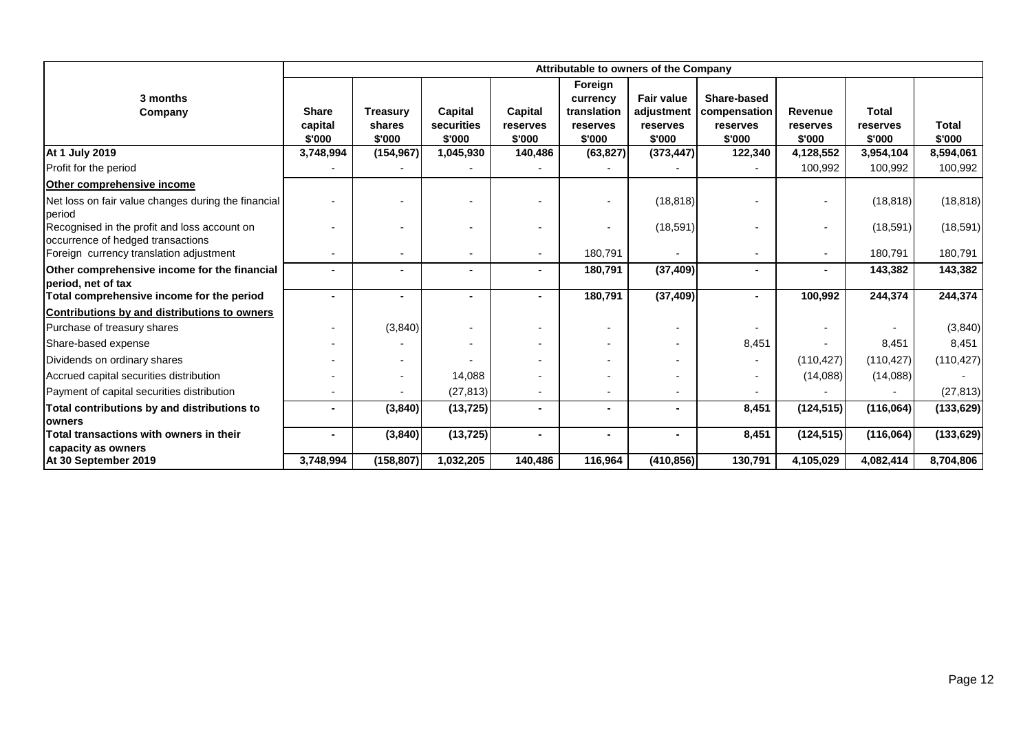|                                                                                           | Attributable to owners of the Company |                                     |                                 |                               |                                                          |                                                       |                                                   |                               |                                    |                        |
|-------------------------------------------------------------------------------------------|---------------------------------------|-------------------------------------|---------------------------------|-------------------------------|----------------------------------------------------------|-------------------------------------------------------|---------------------------------------------------|-------------------------------|------------------------------------|------------------------|
| 3 months<br>Company                                                                       | <b>Share</b><br>capital<br>\$'000     | <b>Treasury</b><br>shares<br>\$'000 | Capital<br>securities<br>\$'000 | Capital<br>reserves<br>\$'000 | Foreign<br>currency<br>translation<br>reserves<br>\$'000 | <b>Fair value</b><br>adjustment<br>reserves<br>\$'000 | Share-based<br>compensation<br>reserves<br>\$'000 | Revenue<br>reserves<br>\$'000 | <b>Total</b><br>reserves<br>\$'000 | <b>Total</b><br>\$'000 |
| <b>At 1 July 2019</b>                                                                     | 3,748,994                             | (154, 967)                          | 1,045,930                       | 140,486                       | (63, 827)                                                | (373, 447)                                            | 122,340                                           | 4,128,552                     | 3,954,104                          | 8,594,061              |
| Profit for the period                                                                     |                                       |                                     |                                 |                               |                                                          |                                                       |                                                   | 100.992                       | 100,992                            | 100,992                |
| Other comprehensive income                                                                |                                       |                                     |                                 |                               |                                                          |                                                       |                                                   |                               |                                    |                        |
| Net loss on fair value changes during the financial<br>period                             |                                       |                                     |                                 |                               |                                                          | (18, 818)                                             |                                                   |                               | (18, 818)                          | (18, 818)              |
| Recognised in the profit and loss account on<br>occurrence of hedged transactions         |                                       |                                     |                                 |                               |                                                          | (18, 591)                                             |                                                   | ٠                             | (18, 591)                          | (18, 591)              |
| Foreign currency translation adjustment                                                   | ٠                                     | $\blacksquare$                      | $\overline{\phantom{a}}$        |                               | 180,791                                                  |                                                       |                                                   | ٠                             | 180,791                            | 180,791                |
| Other comprehensive income for the financial<br>period, net of tax                        |                                       |                                     | $\blacksquare$                  |                               | 180,791                                                  | (37, 409)                                             |                                                   | $\blacksquare$                | 143,382                            | 143,382                |
| Total comprehensive income for the period<br>Contributions by and distributions to owners |                                       | $\blacksquare$                      |                                 |                               | 180,791                                                  | (37, 409)                                             |                                                   | 100,992                       | 244,374                            | 244,374                |
| Purchase of treasury shares                                                               |                                       | (3,840)                             |                                 |                               |                                                          | $\overline{\phantom{a}}$                              |                                                   |                               |                                    | (3,840)                |
| Share-based expense                                                                       |                                       |                                     |                                 |                               |                                                          |                                                       | 8,451                                             |                               | 8,451                              | 8,451                  |
| Dividends on ordinary shares                                                              |                                       |                                     |                                 |                               |                                                          |                                                       |                                                   | (110, 427)                    | (110, 427)                         | (110, 427)             |
| Accrued capital securities distribution                                                   |                                       |                                     | 14,088                          |                               |                                                          |                                                       |                                                   | (14,088)                      | (14,088)                           |                        |
| Payment of capital securities distribution                                                |                                       |                                     | (27, 813)                       |                               | $\overline{\phantom{a}}$                                 |                                                       |                                                   |                               |                                    | (27, 813)              |
| Total contributions by and distributions to<br><b>lowners</b>                             |                                       | (3, 840)                            | (13, 725)                       |                               |                                                          |                                                       | 8,451                                             | (124, 515)                    | (116,064)                          | (133, 629)             |
| Total transactions with owners in their<br>capacity as owners                             | ۰                                     | (3, 840)                            | (13, 725)                       | $\sim$                        | $\sim$                                                   | $\blacksquare$                                        | 8,451                                             | (124, 515)                    | (116,064)                          | (133, 629)             |
| At 30 September 2019                                                                      | 3,748,994                             | (158, 807)                          | 1,032,205                       | 140,486                       | 116,964                                                  | (410, 856)                                            | 130,791                                           | 4,105,029                     | 4,082,414                          | 8,704,806              |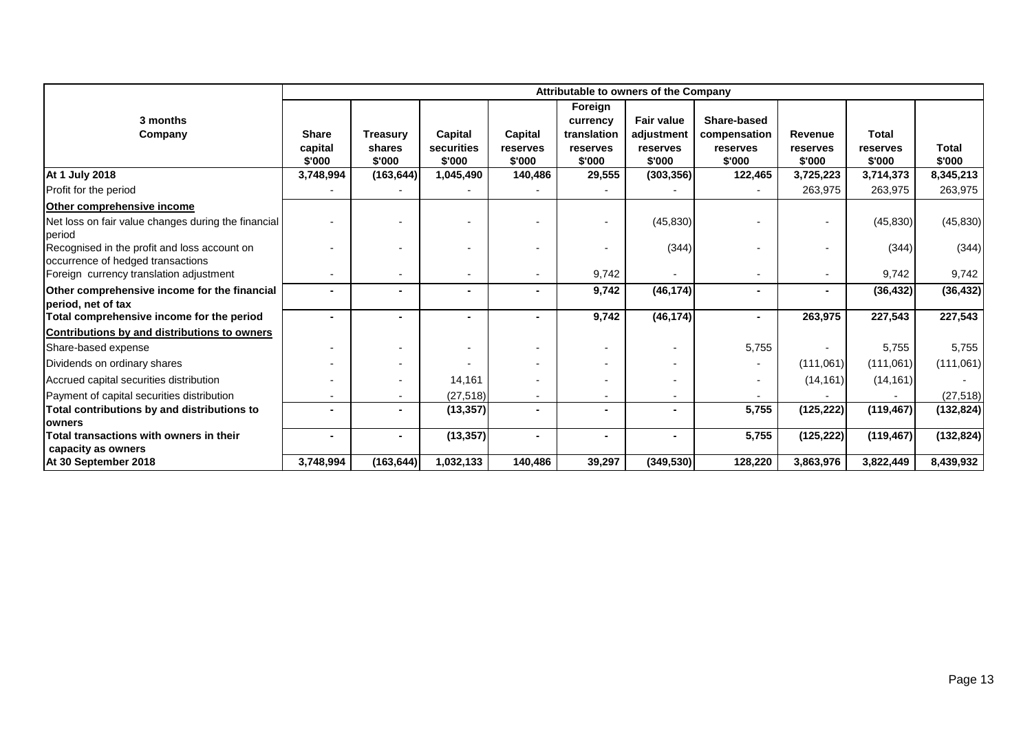|                                                                                             | Attributable to owners of the Company |                                     |                                 |                               |                                                          |                                                       |                                                   |                                      |                             |                 |
|---------------------------------------------------------------------------------------------|---------------------------------------|-------------------------------------|---------------------------------|-------------------------------|----------------------------------------------------------|-------------------------------------------------------|---------------------------------------------------|--------------------------------------|-----------------------------|-----------------|
| 3 months<br>Company                                                                         | <b>Share</b><br>capital<br>\$'000     | <b>Treasury</b><br>shares<br>\$'000 | Capital<br>securities<br>\$'000 | Capital<br>reserves<br>\$'000 | Foreign<br>currency<br>translation<br>reserves<br>\$'000 | <b>Fair value</b><br>adjustment<br>reserves<br>\$'000 | Share-based<br>compensation<br>reserves<br>\$'000 | <b>Revenue</b><br>reserves<br>\$'000 | Total<br>reserves<br>\$'000 | Total<br>\$'000 |
| <b>At 1 July 2018</b>                                                                       | 3,748,994                             | (163, 644)                          | 1,045,490                       | 140,486                       | 29,555                                                   | (303, 356)                                            | 122,465                                           | 3,725,223                            | 3,714,373                   | 8,345,213       |
| Profit for the period                                                                       |                                       |                                     |                                 |                               |                                                          |                                                       |                                                   | 263,975                              | 263,975                     | 263,975         |
| Other comprehensive income                                                                  |                                       |                                     |                                 |                               |                                                          |                                                       |                                                   |                                      |                             |                 |
| Net loss on fair value changes during the financial                                         |                                       |                                     |                                 |                               |                                                          | (45, 830)                                             |                                                   |                                      | (45, 830)                   | (45, 830)       |
| period<br>Recognised in the profit and loss account on<br>occurrence of hedged transactions |                                       |                                     |                                 |                               |                                                          | (344)                                                 |                                                   |                                      | (344)                       | (344)           |
| Foreign currency translation adjustment                                                     |                                       | $\sim$                              |                                 |                               | 9,742                                                    | $\overline{\phantom{a}}$                              |                                                   | $\overline{\phantom{a}}$             | 9,742                       | 9,742           |
| Other comprehensive income for the financial<br>period, net of tax                          |                                       |                                     |                                 |                               | 9,742                                                    | (46, 174)                                             |                                                   | $\blacksquare$                       | (36, 432)                   | (36, 432)       |
| Total comprehensive income for the period                                                   |                                       | $\blacksquare$                      |                                 |                               | 9,742                                                    | (46, 174)                                             |                                                   | 263,975                              | 227,543                     | 227,543         |
| Contributions by and distributions to owners                                                |                                       |                                     |                                 |                               |                                                          |                                                       |                                                   |                                      |                             |                 |
| Share-based expense                                                                         |                                       |                                     |                                 |                               |                                                          | $\blacksquare$                                        | 5,755                                             |                                      | 5,755                       | 5,755           |
| Dividends on ordinary shares                                                                |                                       |                                     |                                 |                               |                                                          | $\blacksquare$                                        |                                                   | (111,061)                            | (111,061)                   | (111,061)       |
| Accrued capital securities distribution                                                     |                                       | $\overline{\phantom{a}}$            | 14,161                          |                               |                                                          | $\overline{\phantom{a}}$                              |                                                   | (14, 161)                            | (14, 161)                   |                 |
| Payment of capital securities distribution                                                  |                                       | $\sim$                              | (27, 518)                       | $\overline{\phantom{0}}$      |                                                          | $\overline{\phantom{a}}$                              |                                                   |                                      |                             | (27, 518)       |
| Total contributions by and distributions to                                                 |                                       | $\blacksquare$                      | (13, 357)                       |                               |                                                          | $\blacksquare$                                        | 5,755                                             | (125, 222)                           | (119, 467)                  | (132, 824)      |
| <b>owners</b>                                                                               |                                       |                                     |                                 |                               |                                                          |                                                       |                                                   |                                      |                             |                 |
| Total transactions with owners in their                                                     |                                       |                                     | (13, 357)                       |                               |                                                          |                                                       | 5,755                                             | (125, 222)                           | (119, 467)                  | (132, 824)      |
| capacity as owners<br>At 30 September 2018                                                  | 3,748,994                             | (163, 644)                          | 1,032,133                       | 140,486                       | 39,297                                                   | (349, 530)                                            | 128,220                                           | 3,863,976                            | 3,822,449                   | 8,439,932       |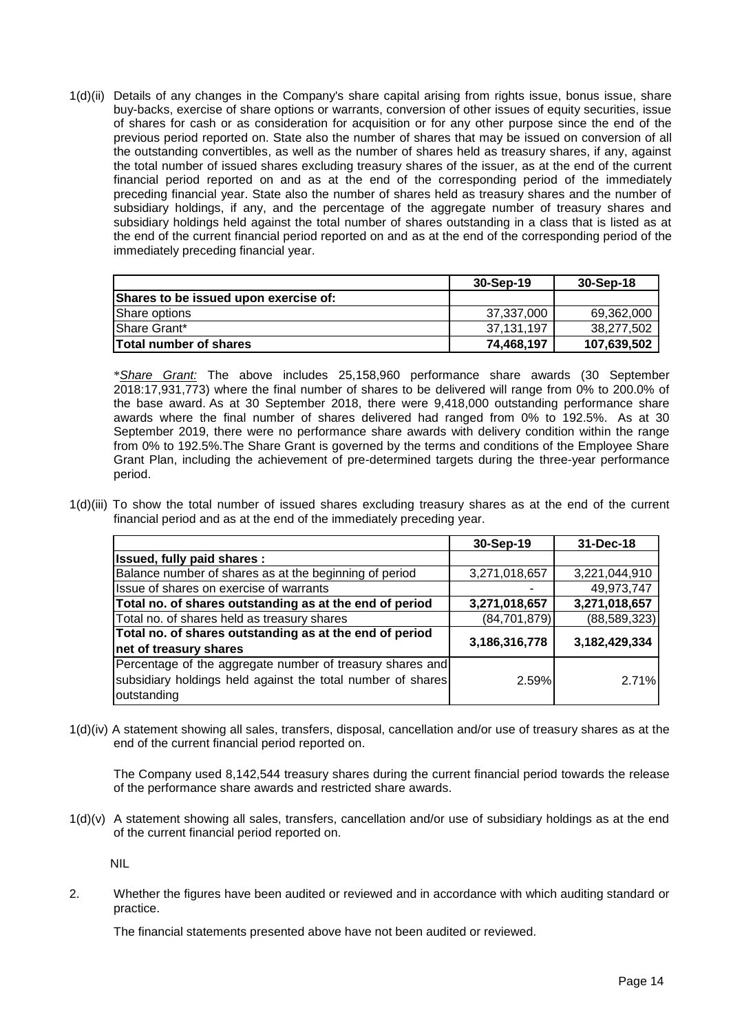1(d)(ii) Details of any changes in the Company's share capital arising from rights issue, bonus issue, share buy-backs, exercise of share options or warrants, conversion of other issues of equity securities, issue of shares for cash or as consideration for acquisition or for any other purpose since the end of the previous period reported on. State also the number of shares that may be issued on conversion of all the outstanding convertibles, as well as the number of shares held as treasury shares, if any, against the total number of issued shares excluding treasury shares of the issuer, as at the end of the current financial period reported on and as at the end of the corresponding period of the immediately preceding financial year. State also the number of shares held as treasury shares and the number of subsidiary holdings, if any, and the percentage of the aggregate number of treasury shares and subsidiary holdings held against the total number of shares outstanding in a class that is listed as at the end of the current financial period reported on and as at the end of the corresponding period of the immediately preceding financial year.

|                                       | 30-Sep-19  | 30-Sep-18   |
|---------------------------------------|------------|-------------|
| Shares to be issued upon exercise of: |            |             |
| Share options                         | 37,337,000 | 69,362,000  |
| <b>IShare Grant*</b>                  | 37.131.197 | 38,277,502  |
| <b>Total number of shares</b>         | 74,468,197 | 107,639,502 |

 \**Share Grant:* The above includes 25,158,960 performance share awards (30 September 2018:17,931,773) where the final number of shares to be delivered will range from 0% to 200.0% of the base award. As at 30 September 2018, there were 9,418,000 outstanding performance share awards where the final number of shares delivered had ranged from 0% to 192.5%. As at 30 September 2019, there were no performance share awards with delivery condition within the range from 0% to 192.5%.The Share Grant is governed by the terms and conditions of the Employee Share Grant Plan, including the achievement of pre-determined targets during the three-year performance period.

1(d)(iii) To show the total number of issued shares excluding treasury shares as at the end of the current financial period and as at the end of the immediately preceding year.

|                                                             | 30-Sep-19      | 31-Dec-18      |
|-------------------------------------------------------------|----------------|----------------|
| Issued, fully paid shares :                                 |                |                |
| Balance number of shares as at the beginning of period      | 3,271,018,657  | 3,221,044,910  |
| Issue of shares on exercise of warrants                     |                | 49,973,747     |
| Total no. of shares outstanding as at the end of period     | 3,271,018,657  | 3,271,018,657  |
| Total no. of shares held as treasury shares                 | (84, 701, 879) | (88, 589, 323) |
| Total no. of shares outstanding as at the end of period     | 3,186,316,778  | 3,182,429,334  |
| net of treasury shares                                      |                |                |
| Percentage of the aggregate number of treasury shares and   |                |                |
| subsidiary holdings held against the total number of shares | 2.59%          | 2.71%          |
| outstanding                                                 |                |                |

1(d)(iv) A statement showing all sales, transfers, disposal, cancellation and/or use of treasury shares as at the end of the current financial period reported on.

 The Company used 8,142,544 treasury shares during the current financial period towards the release of the performance share awards and restricted share awards.

1(d)(v) A statement showing all sales, transfers, cancellation and/or use of subsidiary holdings as at the end of the current financial period reported on.

NIL

2. Whether the figures have been audited or reviewed and in accordance with which auditing standard or practice.

The financial statements presented above have not been audited or reviewed.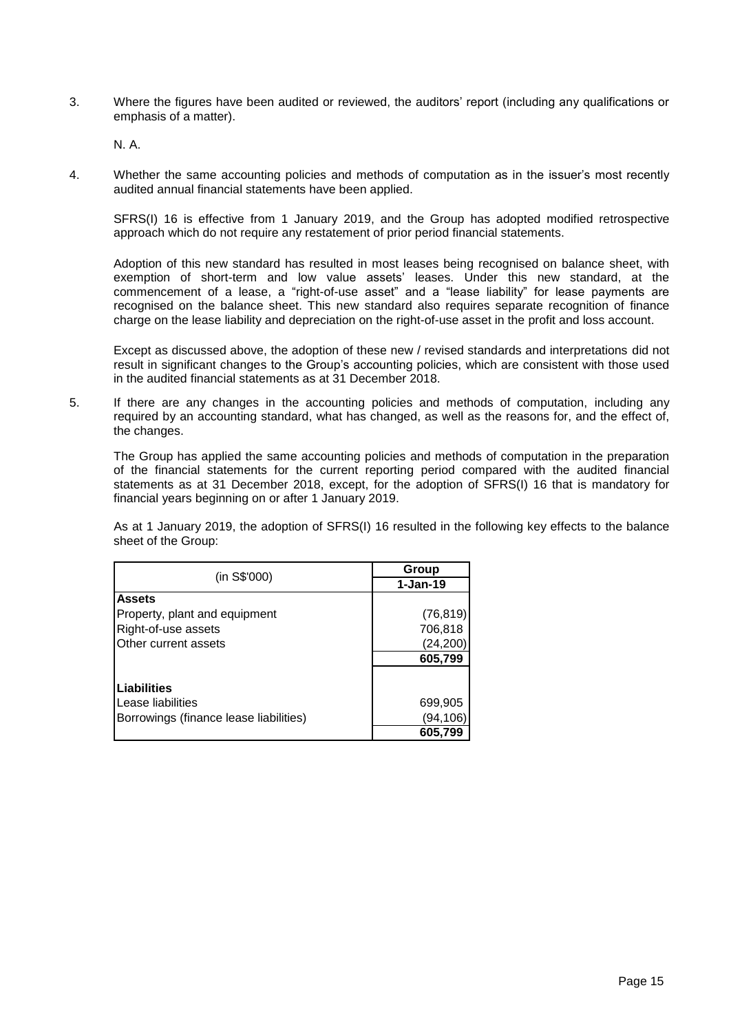3. Where the figures have been audited or reviewed, the auditors' report (including any qualifications or emphasis of a matter).

N. A.

4. Whether the same accounting policies and methods of computation as in the issuer's most recently audited annual financial statements have been applied.

SFRS(I) 16 is effective from 1 January 2019, and the Group has adopted modified retrospective approach which do not require any restatement of prior period financial statements.

Adoption of this new standard has resulted in most leases being recognised on balance sheet, with exemption of short-term and low value assets' leases. Under this new standard, at the commencement of a lease, a "right-of-use asset" and a "lease liability" for lease payments are recognised on the balance sheet. This new standard also requires separate recognition of finance charge on the lease liability and depreciation on the right-of-use asset in the profit and loss account.

Except as discussed above, the adoption of these new / revised standards and interpretations did not result in significant changes to the Group's accounting policies, which are consistent with those used in the audited financial statements as at 31 December 2018.

5. If there are any changes in the accounting policies and methods of computation, including any required by an accounting standard, what has changed, as well as the reasons for, and the effect of, the changes.

The Group has applied the same accounting policies and methods of computation in the preparation of the financial statements for the current reporting period compared with the audited financial statements as at 31 December 2018, except, for the adoption of SFRS(I) 16 that is mandatory for financial years beginning on or after 1 January 2019.

 As at 1 January 2019, the adoption of SFRS(I) 16 resulted in the following key effects to the balance sheet of the Group:

| (in S\$'000)                           | Group      |
|----------------------------------------|------------|
|                                        | $1-Jan-19$ |
| <b>Assets</b>                          |            |
| Property, plant and equipment          | (76, 819)  |
| Right-of-use assets                    | 706,818    |
| Other current assets                   | (24, 200)  |
|                                        | 605,799    |
| <b>ILiabilities</b>                    |            |
| Lease liabilities                      | 699,905    |
| Borrowings (finance lease liabilities) | (94,106)   |
|                                        | 605,799    |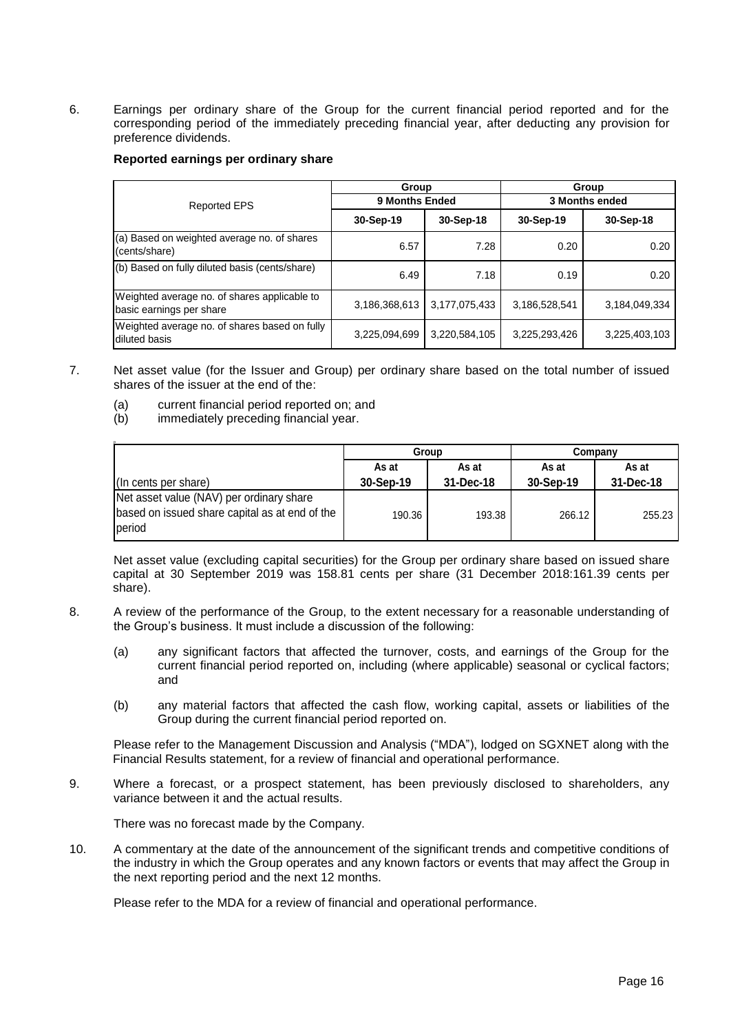6. Earnings per ordinary share of the Group for the current financial period reported and for the corresponding period of the immediately preceding financial year, after deducting any provision for preference dividends.

#### **Reported earnings per ordinary share**

|                                                                          | Group          |               | Group<br>3 Months ended |               |  |  |
|--------------------------------------------------------------------------|----------------|---------------|-------------------------|---------------|--|--|
| <b>Reported EPS</b>                                                      | 9 Months Ended |               |                         |               |  |  |
|                                                                          | 30-Sep-19      | 30-Sep-18     | 30-Sep-19               | 30-Sep-18     |  |  |
| (a) Based on weighted average no. of shares<br>(cents/share)             | 6.57           | 7.28          | 0.20                    | 0.20          |  |  |
| (b) Based on fully diluted basis (cents/share)                           | 6.49           | 7.18          | 0.19                    | 0.20          |  |  |
| Weighted average no. of shares applicable to<br>basic earnings per share | 3,186,368,613  | 3,177,075,433 | 3,186,528,541           | 3,184,049,334 |  |  |
| Weighted average no. of shares based on fully<br>diluted basis           | 3,225,094,699  | 3,220,584,105 | 3,225,293,426           | 3,225,403,103 |  |  |

- 7. Net asset value (for the Issuer and Group) per ordinary share based on the total number of issued shares of the issuer at the end of the:
	- (a) current financial period reported on; and
	- (b) immediately preceding financial year.

|                                                                                                      | Group     |           | Company   |           |  |
|------------------------------------------------------------------------------------------------------|-----------|-----------|-----------|-----------|--|
|                                                                                                      | As at     | As at     | As at     | As at     |  |
| (In cents per share)                                                                                 | 30-Sep-19 | 31-Dec-18 | 30-Sep-19 | 31-Dec-18 |  |
| Net asset value (NAV) per ordinary share<br>based on issued share capital as at end of the<br>period | 190.36    | 193.38    | 266.12    | 255.23    |  |

Net asset value (excluding capital securities) for the Group per ordinary share based on issued share capital at 30 September 2019 was 158.81 cents per share (31 December 2018:161.39 cents per share).

- 8. A review of the performance of the Group, to the extent necessary for a reasonable understanding of the Group's business. It must include a discussion of the following:
	- (a) any significant factors that affected the turnover, costs, and earnings of the Group for the current financial period reported on, including (where applicable) seasonal or cyclical factors; and
	- (b) any material factors that affected the cash flow, working capital, assets or liabilities of the Group during the current financial period reported on.

Please refer to the Management Discussion and Analysis ("MDA"), lodged on SGXNET along with the Financial Results statement, for a review of financial and operational performance.

9. Where a forecast, or a prospect statement, has been previously disclosed to shareholders, any variance between it and the actual results.

There was no forecast made by the Company.

10. A commentary at the date of the announcement of the significant trends and competitive conditions of the industry in which the Group operates and any known factors or events that may affect the Group in the next reporting period and the next 12 months.

Please refer to the MDA for a review of financial and operational performance.